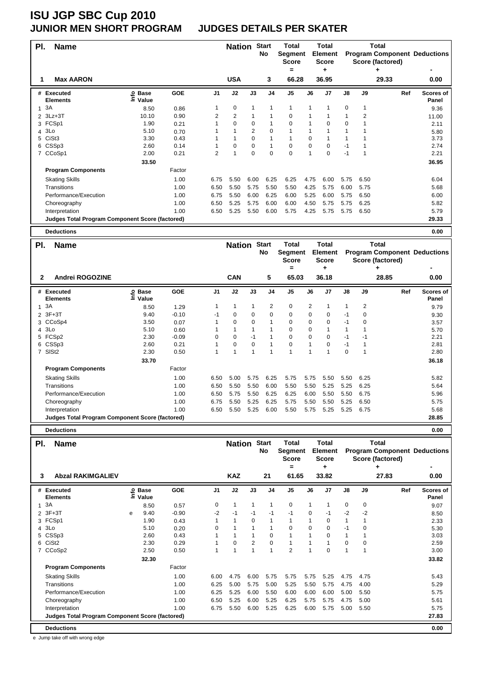### **JUNIOR MEN SHORT PROGRAM JUDGES DETAILS PER SKATER**

| PI. | <b>Name</b>                                            |                            |        |                | <b>Nation</b>  |                | <b>Start</b><br>No | Total<br>Segment<br><b>Score</b><br>= |              | Total<br><b>Element</b><br><b>Score</b><br>٠ |             |      | Total<br>Score (factored)<br>۰ | <b>Program Component Deductions</b> |
|-----|--------------------------------------------------------|----------------------------|--------|----------------|----------------|----------------|--------------------|---------------------------------------|--------------|----------------------------------------------|-------------|------|--------------------------------|-------------------------------------|
| 1   | <b>Max AARON</b>                                       |                            |        |                | <b>USA</b>     |                | 3                  | 66.28                                 |              | 36.95                                        |             |      | 29.33                          | 0.00                                |
|     | # Executed<br><b>Elements</b>                          | <b>Base</b><br>۴d<br>Value | GOE    | J <sub>1</sub> | J2             | J3             | J <sub>4</sub>     | J <sub>5</sub>                        | J6           | J <sub>7</sub>                               | J8          | J9   | Ref                            | Scores of<br>Panel                  |
| 1   | 3A                                                     | 8.50                       | 0.86   |                | 0              | 1              | 1                  | 1                                     | $\mathbf{1}$ |                                              | $\mathbf 0$ |      |                                | 9.36                                |
| 2   | 3Lz+3T                                                 | 10.10                      | 0.90   | 2              | $\overline{2}$ |                |                    | 0                                     |              |                                              | 1           | 2    |                                | 11.00                               |
|     | 3 FCSp1                                                | 1.90                       | 0.21   |                | $\mathbf 0$    | 0              |                    | 0                                     |              | $\Omega$                                     | 0           |      |                                | 2.11                                |
| 4   | 3Lo                                                    | 5.10                       | 0.70   |                | 1              | $\overline{2}$ | $\mathbf 0$        |                                       |              |                                              | 1           |      |                                | 5.80                                |
|     | 5 CiSt3                                                | 3.30                       | 0.43   |                | 1              | 0              |                    | 1                                     | 0            |                                              | 1           |      |                                | 3.73                                |
|     | 6 CSSp3                                                | 2.60                       | 0.14   |                | 0              | 0              | -1                 | 0                                     | 0            | 0                                            | -1          |      |                                | 2.74                                |
|     | 7 CCoSp1                                               | 2.00                       | 0.21   | $\overline{2}$ | 1              | $\Omega$       | $\Omega$           | $\Omega$                              | $\mathbf{1}$ | $\Omega$                                     | $-1$        |      |                                | 2.21                                |
|     |                                                        | 33.50                      |        |                |                |                |                    |                                       |              |                                              |             |      |                                | 36.95                               |
|     | <b>Program Components</b>                              |                            | Factor |                |                |                |                    |                                       |              |                                              |             |      |                                |                                     |
|     | <b>Skating Skills</b>                                  |                            | 1.00   | 6.75           | 5.50           | 6.00           | 6.25               | 6.25                                  | 4.75         | 6.00                                         | 5.75        | 6.50 |                                | 6.04                                |
|     | Transitions                                            |                            | 1.00   | 6.50           | 5.50           | 5.75           | 5.50               | 5.50                                  | 4.25         | 5.75                                         | 6.00        | 5.75 |                                | 5.68                                |
|     | Performance/Execution                                  |                            | 1.00   | 6.75           | 5.50           | 6.00           | 6.25               | 6.00                                  | 5.25         | 6.00                                         | 5.75        | 6.50 |                                | 6.00                                |
|     | Choreography                                           |                            | 1.00   | 6.50           | 5.25           | 5.75           | 6.00               | 6.00                                  | 4.50         | 5.75                                         | 5.75        | 6.25 |                                | 5.82                                |
|     | Interpretation                                         |                            | 1.00   | 6.50           | 5.25           | 5.50           | 6.00               | 5.75                                  | 4.25         | 5.75                                         | 5.75        | 6.50 |                                | 5.79                                |
|     | <b>Judges Total Program Component Score (factored)</b> |                            |        |                |                |                |                    |                                       |              |                                              |             |      |                                | 29.33                               |
|     | <b>Deductions</b>                                      |                            |        |                |                |                |                    |                                       |              |                                              |             |      |                                | 0.00                                |

| PI.          | <b>Name</b>                                            |                            |            |                | <b>Nation</b>  |      | <b>Start</b><br>No | <b>Total</b><br>Segment<br><b>Score</b><br>= |                | Total<br><b>Element</b><br><b>Score</b><br>٠ |      |                | Total<br><b>Program Component Deductions</b><br>Score (factored) |                    |
|--------------|--------------------------------------------------------|----------------------------|------------|----------------|----------------|------|--------------------|----------------------------------------------|----------------|----------------------------------------------|------|----------------|------------------------------------------------------------------|--------------------|
| $\mathbf{2}$ | Andrei ROGOZINE                                        |                            |            |                | <b>CAN</b>     |      | 5                  | 65.03                                        |                | 36.18                                        |      |                | 28.85                                                            | 0.00               |
|              | # Executed<br><b>Elements</b>                          | e Base<br>⊆ Value<br>Value | <b>GOE</b> | J <sub>1</sub> | J2             | J3   | J <sub>4</sub>     | J <sub>5</sub>                               | J6             | J <sub>7</sub>                               | J8   | J9             | Ref                                                              | Scores of<br>Panel |
|              | 13A                                                    | 8.50                       | 1.29       |                | 1              |      | 2                  | $\mathbf 0$                                  | $\overline{2}$ |                                              | 1    | $\overline{2}$ |                                                                  | 9.79               |
|              | 2 3F+3T                                                | 9.40                       | $-0.10$    | -1             | $\mathbf 0$    | 0    | 0                  | 0                                            | 0              | 0                                            | -1   | 0              |                                                                  | 9.30               |
|              | 3 CCoSp4                                               | 3.50                       | 0.07       |                | 0              | 0    | 1                  | 0                                            | 0              | 0                                            | -1   | 0              |                                                                  | 3.57               |
|              | 4 3Lo                                                  | 5.10                       | 0.60       |                |                |      | 1                  | $\mathbf 0$                                  | 0              |                                              | 1    |                |                                                                  | 5.70               |
|              | 5 FCSp2                                                | 2.30                       | $-0.09$    | 0              | $\mathbf 0$    | $-1$ | 1                  | $\mathbf 0$                                  | $\mathbf 0$    | 0                                            | $-1$ | -1             |                                                                  | 2.21               |
|              | 6 CSSp3                                                | 2.60                       | 0.21       |                | $\mathbf 0$    | 0    | 1                  | $\mathbf 0$                                  |                | 0                                            | $-1$ | 1              |                                                                  | 2.81               |
|              | 7 SISt2                                                | 2.30                       | 0.50       |                | $\overline{1}$ | 1    | 1                  | $\overline{1}$                               | 1              | $\overline{\mathbf{A}}$                      | 0    | 1              |                                                                  | 2.80               |
|              |                                                        | 33.70                      |            |                |                |      |                    |                                              |                |                                              |      |                |                                                                  | 36.18              |
|              | <b>Program Components</b>                              |                            | Factor     |                |                |      |                    |                                              |                |                                              |      |                |                                                                  |                    |
|              | <b>Skating Skills</b>                                  |                            | 1.00       | 6.50           | 5.00           | 5.75 | 6.25               | 5.75                                         | 5.75           | 5.50                                         | 5.50 | 6.25           |                                                                  | 5.82               |
|              | <b>Transitions</b>                                     |                            | 1.00       | 6.50           | 5.50           | 5.50 | 6.00               | 5.50                                         | 5.50           | 5.25                                         | 5.25 | 6.25           |                                                                  | 5.64               |
|              | Performance/Execution                                  |                            | 1.00       | 6.50           | 5.75           | 5.50 | 6.25               | 6.25                                         | 6.00           | 5.50                                         | 5.50 | 6.75           |                                                                  | 5.96               |
|              | Choreography                                           |                            | 1.00       | 6.75           | 5.50           | 5.25 | 6.25               | 5.75                                         | 5.50           | 5.50                                         | 5.25 | 6.50           |                                                                  | 5.75               |
|              | Interpretation                                         |                            | 1.00       | 6.50           | 5.50           | 5.25 | 6.00               | 5.50                                         | 5.75           | 5.25                                         | 5.25 | 6.75           |                                                                  | 5.68               |
|              | <b>Judges Total Program Component Score (factored)</b> |                            |            |                |                |      |                    |                                              |                |                                              |      |                |                                                                  | 28.85              |

**Deductions 0.00**

| PI. | <b>Name</b>                                     |   |                            |            |                |              | <b>Nation</b>  | <b>Start</b><br>No | <b>Total</b><br>Segment<br><b>Score</b> |          | <b>Total</b><br><b>Element</b><br><b>Score</b> |          |             | Total<br><b>Program Component Deductions</b><br>Score (factored) |                    |
|-----|-------------------------------------------------|---|----------------------------|------------|----------------|--------------|----------------|--------------------|-----------------------------------------|----------|------------------------------------------------|----------|-------------|------------------------------------------------------------------|--------------------|
|     |                                                 |   |                            |            |                |              |                |                    | $\equiv$                                |          | ٠                                              |          |             | ٠                                                                |                    |
| 3   | <b>Abzal RAKIMGALIEV</b>                        |   |                            |            |                | <b>KAZ</b>   |                | 21                 | 61.65                                   |          | 33.82                                          |          |             | 27.83                                                            | 0.00               |
|     | # Executed<br><b>Elements</b>                   |   | e Base<br>⊆ Value<br>Value | <b>GOE</b> | J <sub>1</sub> | J2           | J3             | J <sub>4</sub>     | J <sub>5</sub>                          | J6       | J <sub>7</sub>                                 | J8       | J9          | Ref                                                              | Scores of<br>Panel |
| 1   | 3A                                              |   | 8.50                       | 0.57       | 0              | 1            | $\mathbf{1}$   | $\mathbf{1}$       | 0                                       | 1        | 1                                              | 0        | $\mathbf 0$ |                                                                  | 9.07               |
| 2   | $3F+3T$                                         | е | 9.40                       | $-0.90$    | -2             | $-1$         | $-1$           | -1                 | $-1$                                    | 0        | $-1$                                           | $-2$     | $-2$        |                                                                  | 8.50               |
|     | 3 FCSp1                                         |   | 1.90                       | 0.43       |                | $\mathbf{1}$ | $\Omega$       | 1                  | $\mathbf{1}$                            | 1        | $\Omega$                                       | 1        |             |                                                                  | 2.33               |
| 4   | 3Lo                                             |   | 5.10                       | 0.20       | $\Omega$       | $\mathbf{1}$ |                | 1                  | $\Omega$                                | $\Omega$ | 0                                              | $-1$     | $\Omega$    |                                                                  | 5.30               |
| 5   | CSSp3                                           |   | 2.60                       | 0.43       |                | 1            |                | 0                  | $\mathbf{1}$                            |          | $\Omega$                                       | 1        |             |                                                                  | 3.03               |
| 6   | CiSt <sub>2</sub>                               |   | 2.30                       | 0.29       |                | $\mathbf 0$  | $\overline{2}$ | $\Omega$           | 1                                       |          |                                                | $\Omega$ | $\Omega$    |                                                                  | 2.59               |
| 7   | CCoSp2                                          |   | 2.50                       | 0.50       |                | 1            |                | $\overline{1}$     | $\overline{2}$                          | 1        | $\Omega$                                       | 1        | 1           |                                                                  | 3.00               |
|     |                                                 |   | 32.30                      |            |                |              |                |                    |                                         |          |                                                |          |             |                                                                  | 33.82              |
|     | <b>Program Components</b>                       |   |                            | Factor     |                |              |                |                    |                                         |          |                                                |          |             |                                                                  |                    |
|     | <b>Skating Skills</b>                           |   |                            | 1.00       | 6.00           | 4.75         | 6.00           | 5.75               | 5.75                                    | 5.75     | 5.25                                           | 4.75     | 4.75        |                                                                  | 5.43               |
|     | Transitions                                     |   |                            | 1.00       | 6.25           | 5.00         | 5.75           | 5.00               | 5.25                                    | 5.50     | 5.75                                           | 4.75     | 4.00        |                                                                  | 5.29               |
|     | Performance/Execution                           |   |                            | 1.00       | 6.25           | 5.25         | 6.00           | 5.50               | 6.00                                    | 6.00     | 6.00                                           | 5.00     | 5.50        |                                                                  | 5.75               |
|     | Choreography                                    |   |                            | 1.00       | 6.50           | 5.25         | 6.00           | 5.25               | 6.25                                    | 5.75     | 5.75                                           | 4.75     | 5.00        |                                                                  | 5.61               |
|     | Interpretation                                  |   |                            | 1.00       | 6.75           | 5.50         | 6.00           | 5.25               | 6.25                                    | 6.00     | 5.75                                           | 5.00     | 5.50        |                                                                  | 5.75               |
|     | Judges Total Program Component Score (factored) |   |                            |            |                |              |                |                    |                                         |          |                                                |          |             |                                                                  | 27.83              |
|     | <b>Deductions</b>                               |   |                            |            |                |              |                |                    |                                         |          |                                                |          |             |                                                                  | 0.00               |

e Jump take off with wrong edge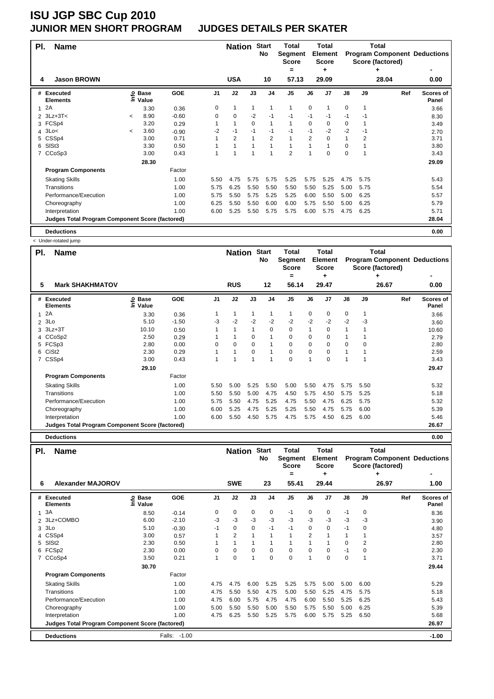#### **JUNIOR MEN SHORT PROGRAM JUDGES DETAILS PER SKATER**

| PI. | <b>Name</b>                                            |            |                   |         |                | <b>Nation</b> |             | <b>Start</b><br>No | <b>Total</b><br>Segment<br>Score<br>$=$ |                | <b>Total</b><br><b>Element</b><br><b>Score</b><br>٠ |               |                | Total<br><b>Program Component Deductions</b><br>Score (factored)<br>۰ |                    |
|-----|--------------------------------------------------------|------------|-------------------|---------|----------------|---------------|-------------|--------------------|-----------------------------------------|----------------|-----------------------------------------------------|---------------|----------------|-----------------------------------------------------------------------|--------------------|
| 4   | <b>Jason BROWN</b>                                     |            |                   |         |                | <b>USA</b>    |             | 10                 | 57.13                                   |                | 29.09                                               |               |                | 28.04                                                                 | 0.00               |
|     | # Executed<br><b>Elements</b>                          |            | e Base<br>⊆ Value | GOE     | J <sub>1</sub> | J2            | J3          | J <sub>4</sub>     | J <sub>5</sub>                          | J6             | J7                                                  | $\mathsf{J}8$ | J9             | Ref                                                                   | Scores of<br>Panel |
|     | 2A                                                     |            | 3.30              | 0.36    | 0              | 1             | 1           | 1                  | 1                                       | 0              | 1                                                   | $\mathbf 0$   | 1              |                                                                       | 3.66               |
|     | $2$ 3Lz+3T<                                            | $\,<\,$    | 8.90              | $-0.60$ | 0              | 0             | $-2$        | -1                 | $-1$                                    | $-1$           | $-1$                                                | $-1$          | -1             |                                                                       | 8.30               |
|     | 3 FCSp4                                                |            | 3.20              | 0.29    |                | $\mathbf{1}$  | $\mathbf 0$ | $\overline{1}$     | 1                                       | 0              | 0                                                   | 0             |                |                                                                       | 3.49               |
|     | 43Lo<                                                  | $\tilde{}$ | 3.60              | $-0.90$ | $-2$           | $-1$          | $-1$        | $-1$               | $-1$                                    | $-1$           | $-2$                                                | $-2$          | $-1$           |                                                                       | 2.70               |
|     | 5 CSSp4                                                |            | 3.00              | 0.71    |                | 2             |             | $\overline{2}$     | $\mathbf{1}$                            | $\overline{2}$ | 0                                                   | 1             | $\overline{2}$ |                                                                       | 3.71               |
|     | 6 SISt3                                                |            | 3.30              | 0.50    |                |               |             |                    | $\mathbf{1}$                            |                |                                                     | 0             |                |                                                                       | 3.80               |
|     | 7 CCoSp3                                               |            | 3.00              | 0.43    |                |               |             |                    | $\overline{2}$                          | 1              | 0                                                   | 0             | 1              |                                                                       | 3.43               |
|     |                                                        |            | 28.30             |         |                |               |             |                    |                                         |                |                                                     |               |                |                                                                       | 29.09              |
|     | <b>Program Components</b>                              |            |                   | Factor  |                |               |             |                    |                                         |                |                                                     |               |                |                                                                       |                    |
|     | <b>Skating Skills</b>                                  |            |                   | 1.00    | 5.50           | 4.75          | 5.75        | 5.75               | 5.25                                    | 5.75           | 5.25                                                | 4.75          | 5.75           |                                                                       | 5.43               |
|     | Transitions                                            |            |                   | 1.00    | 5.75           | 6.25          | 5.50        | 5.50               | 5.50                                    | 5.50           | 5.25                                                | 5.00          | 5.75           |                                                                       | 5.54               |
|     | Performance/Execution                                  |            |                   | 1.00    | 5.75           | 5.50          | 5.75        | 5.25               | 5.25                                    | 6.00           | 5.50                                                | 5.00          | 6.25           |                                                                       | 5.57               |
|     | Choreography                                           |            |                   | 1.00    | 6.25           | 5.50          | 5.50        | 6.00               | 6.00                                    | 5.75           | 5.50                                                | 5.00          | 6.25           |                                                                       | 5.79               |
|     | Interpretation                                         |            |                   | 1.00    | 6.00           | 5.25          | 5.50        | 5.75               | 5.75                                    | 6.00           | 5.75                                                | 4.75          | 6.25           |                                                                       | 5.71               |
|     | <b>Judges Total Program Component Score (factored)</b> |            |                   |         |                |               |             |                    |                                         |                |                                                     |               |                |                                                                       | 28.04              |
|     | <b>Deductions</b>                                      |            |                   |         |                |               |             |                    |                                         |                |                                                     |               |                |                                                                       | 0.00               |

Under-rotated iu

| PI.            | <b>Name</b>                                            |                            |         |                | <b>Nation</b> |          | <b>Start</b><br>No | Total<br>Segment<br><b>Score</b><br>$=$ |      | Total<br><b>Element</b><br><b>Score</b><br>٠ |               |      | Total<br>Score (factored) | <b>Program Component Deductions</b> |
|----------------|--------------------------------------------------------|----------------------------|---------|----------------|---------------|----------|--------------------|-----------------------------------------|------|----------------------------------------------|---------------|------|---------------------------|-------------------------------------|
| 5              | <b>Mark SHAKHMATOV</b>                                 |                            |         |                | <b>RUS</b>    |          | 12                 | 56.14                                   |      | 29.47                                        |               |      | 26.67                     | 0.00                                |
|                | # Executed<br><b>Elements</b>                          | <b>Base</b><br>۴o<br>Value | GOE     | J <sub>1</sub> | J2            | J3       | J <sub>4</sub>     | J <sub>5</sub>                          | J6   | J7                                           | $\mathsf{J}8$ | J9   | Ref                       | <b>Scores of</b><br>Panel           |
| 1.             | 2A                                                     | 3.30                       | 0.36    |                | 1             |          | 1                  | 1                                       | 0    | $\mathbf 0$                                  | 0             | 1    |                           | 3.66                                |
| $\overline{2}$ | 3Lo                                                    | 5.10                       | $-1.50$ | -3             | $-2$          | $-2$     | $-2$               | $-2$                                    | $-2$ | $-2$                                         | $-2$          | -3   |                           | 3.60                                |
|                | 3 3Lz+3T                                               | 10.10                      | 0.50    |                | 1             |          | 0                  | 0                                       | 1    | $\mathbf 0$                                  | 1             |      |                           | 10.60                               |
| 4              | CCoSp2                                                 | 2.50                       | 0.29    |                |               | 0        | 1                  | 0                                       | 0    | $\mathbf 0$                                  | 1             |      |                           | 2.79                                |
|                | 5 FCSp3                                                | 2.80                       | 0.00    | $\Omega$       | 0             | 0        | 1                  | 0                                       | 0    | $\mathbf 0$                                  | 0             | 0    |                           | 2.80                                |
| 6              | CiSt <sub>2</sub>                                      | 2.30                       | 0.29    |                | 1             | $\Omega$ | 1                  | 0                                       | 0    | $\mathbf 0$                                  | 1             |      |                           | 2.59                                |
|                | 7 CSSp4                                                | 3.00                       | 0.43    |                |               |          | 1                  | $\mathbf 0$                             | 1    | $\mathbf 0$                                  | 1             |      |                           | 3.43                                |
|                |                                                        | 29.10                      |         |                |               |          |                    |                                         |      |                                              |               |      |                           | 29.47                               |
|                | <b>Program Components</b>                              |                            | Factor  |                |               |          |                    |                                         |      |                                              |               |      |                           |                                     |
|                | <b>Skating Skills</b>                                  |                            | 1.00    | 5.50           | 5.00          | 5.25     | 5.50               | 5.00                                    | 5.50 | 4.75                                         | 5.75          | 5.50 |                           | 5.32                                |
|                | Transitions                                            |                            | 1.00    | 5.50           | 5.50          | 5.00     | 4.75               | 4.50                                    | 5.75 | 4.50                                         | 5.75          | 5.25 |                           | 5.18                                |
|                | Performance/Execution                                  |                            | 1.00    | 5.75           | 5.50          | 4.75     | 5.25               | 4.75                                    | 5.50 | 4.75                                         | 6.25          | 5.75 |                           | 5.32                                |
|                | Choreography                                           |                            | 1.00    | 6.00           | 5.25          | 4.75     | 5.25               | 5.25                                    | 5.50 | 4.75                                         | 5.75          | 6.00 |                           | 5.39                                |
|                | Interpretation                                         |                            | 1.00    | 6.00           | 5.50          | 4.50     | 5.75               | 4.75                                    | 5.75 | 4.50                                         | 6.25          | 6.00 |                           | 5.46                                |
|                | <b>Judges Total Program Component Score (factored)</b> |                            |         |                |               |          |                    |                                         |      |                                              |               |      |                           | 26.67                               |
|                | <b>Deductions</b>                                      |                            |         |                |               |          |                    |                                         |      |                                              |               |      |                           | 0.00                                |

| PI. | <b>Name</b>                                            |                                |              |                | <b>Nation</b>  |          | <b>Start</b><br>No | Total<br>Segment<br><b>Score</b> |             | <b>Total</b><br><b>Element</b><br><b>Score</b> |             |          | <b>Total</b><br><b>Program Component Deductions</b><br>Score (factored) |                           |
|-----|--------------------------------------------------------|--------------------------------|--------------|----------------|----------------|----------|--------------------|----------------------------------|-------------|------------------------------------------------|-------------|----------|-------------------------------------------------------------------------|---------------------------|
| 6   | <b>Alexander MAJOROV</b>                               |                                |              |                | <b>SWE</b>     |          | 23                 | $=$<br>55.41                     |             | ٠<br>29.44                                     |             |          | ٠<br>26.97                                                              | 1.00                      |
|     | # Executed<br><b>Elements</b>                          | <b>Base</b><br>ڡ<br>٤<br>Value | GOE          | J <sub>1</sub> | J2             | J3       | J <sub>4</sub>     | J5                               | J6          | J <sub>7</sub>                                 | J8          | J9       | Ref                                                                     | <b>Scores of</b><br>Panel |
|     | 13A                                                    | 8.50                           | $-0.14$      | 0              | 0              | 0        | 0                  | $-1$                             | 0           | 0                                              | $-1$        | 0        |                                                                         | 8.36                      |
|     | 2 3Lz+COMBO                                            | 6.00                           | $-2.10$      | $-3$           | $-3$           | $-3$     | $-3$               | $-3$                             | $-3$        | $-3$                                           | $-3$        | $-3$     |                                                                         | 3.90                      |
| 3   | 3Lo                                                    | 5.10                           | $-0.30$      | -1             | $\mathbf 0$    | 0        | $-1$               | $-1$                             | $\mathbf 0$ | 0                                              | $-1$        | 0        |                                                                         | 4.80                      |
| 4   | CSS <sub>p4</sub>                                      | 3.00                           | 0.57         |                | $\overline{2}$ |          | 1                  | $\mathbf{1}$                     | 2           |                                                | 1           |          |                                                                         | 3.57                      |
| 5   | SISt <sub>2</sub>                                      | 2.30                           | 0.50         |                | $\mathbf{1}$   |          | 1                  | $\mathbf{1}$                     |             |                                                | 0           | 2        |                                                                         | 2.80                      |
|     | 6 FCSp2                                                | 2.30                           | 0.00         | $\Omega$       | 0              | $\Omega$ | $\mathbf 0$        | 0                                | $\Omega$    | $\Omega$                                       | $-1$        | $\Omega$ |                                                                         | 2.30                      |
|     | 7 CCoSp4                                               | 3.50                           | 0.21         |                | 0              |          | $\Omega$           | $\Omega$                         | 1           | $\Omega$                                       | $\mathbf 0$ |          |                                                                         | 3.71                      |
|     |                                                        | 30.70                          |              |                |                |          |                    |                                  |             |                                                |             |          |                                                                         | 29.44                     |
|     | <b>Program Components</b>                              |                                | Factor       |                |                |          |                    |                                  |             |                                                |             |          |                                                                         |                           |
|     | <b>Skating Skills</b>                                  |                                | 1.00         | 4.75           | 4.75           | 6.00     | 5.25               | 5.25                             | 5.75        | 5.00                                           | 5.00        | 6.00     |                                                                         | 5.29                      |
|     | Transitions                                            |                                | 1.00         | 4.75           | 5.50           | 5.50     | 4.75               | 5.00                             | 5.50        | 5.25                                           | 4.75        | 5.75     |                                                                         | 5.18                      |
|     | Performance/Execution                                  |                                | 1.00         | 4.75           | 6.00           | 5.75     | 4.75               | 4.75                             | 6.00        | 5.50                                           | 5.25        | 6.25     |                                                                         | 5.43                      |
|     | Choreography                                           |                                | 1.00         | 5.00           | 5.50           | 5.50     | 5.00               | 5.50                             | 5.75        | 5.50                                           | 5.00        | 6.25     |                                                                         | 5.39                      |
|     | Interpretation                                         |                                | 1.00         | 4.75           | 6.25           | 5.50     | 5.25               | 5.75                             | 6.00        | 5.75                                           | 5.25        | 6.50     |                                                                         | 5.68                      |
|     | <b>Judges Total Program Component Score (factored)</b> |                                |              |                |                |          |                    |                                  |             |                                                |             |          |                                                                         | 26.97                     |
|     | <b>Deductions</b>                                      |                                | Falls: -1.00 |                |                |          |                    |                                  |             |                                                |             |          |                                                                         | $-1.00$                   |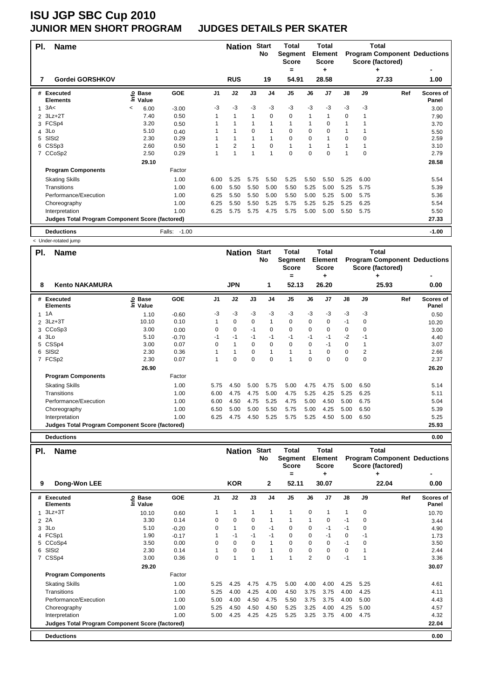#### **JUNIOR MEN SHORT PROGRAM JUDGES DETAILS PER SKATER**

| PI. | <b>Name</b>                                            |         |                   |              |                | <b>Nation</b>  |          | <b>Start</b><br>No | <b>Total</b><br>Segment<br><b>Score</b> |          | <b>Total</b><br><b>Element</b><br><b>Score</b> |               |          | Total<br>Score (factored) | <b>Program Component Deductions</b> |
|-----|--------------------------------------------------------|---------|-------------------|--------------|----------------|----------------|----------|--------------------|-----------------------------------------|----------|------------------------------------------------|---------------|----------|---------------------------|-------------------------------------|
| 7   | Gordei GORSHKOV                                        |         |                   |              |                | <b>RUS</b>     |          | 19                 | =<br>54.91                              |          | ٠<br>28.58                                     |               |          | 27.33                     | 1.00                                |
|     |                                                        |         |                   |              |                |                |          |                    |                                         |          |                                                |               |          |                           |                                     |
|     | # Executed<br><b>Elements</b>                          |         | © Base<br>E Value | <b>GOE</b>   | J <sub>1</sub> | J2             | J3       | J <sub>4</sub>     | J <sub>5</sub>                          | J6       | J7                                             | $\mathsf{J}8$ | J9       | Ref                       | <b>Scores of</b><br>Panel           |
|     | 3A<                                                    | $\,<\,$ | 6.00              | $-3.00$      | -3             | $-3$           | $-3$     | $-3$               | $-3$                                    | $-3$     | $-3$                                           | $-3$          | -3       |                           | 3.00                                |
|     | 2 3Lz+2T                                               |         | 7.40              | 0.50         |                | $\overline{1}$ |          | $\mathbf 0$        | 0                                       | 1        | 1                                              | 0             |          |                           | 7.90                                |
|     | 3 FCSp4                                                |         | 3.20              | 0.50         |                |                |          |                    | $\mathbf{1}$                            |          | 0                                              |               |          |                           | 3.70                                |
|     | 4 3Lo                                                  |         | 5.10              | 0.40         |                |                | $\Omega$ |                    | 0                                       | 0        | $\Omega$                                       |               |          |                           | 5.50                                |
| 5   | SISt <sub>2</sub>                                      |         | 2.30              | 0.29         |                |                |          |                    | 0                                       | $\Omega$ |                                                | 0             | $\Omega$ |                           | 2.59                                |
|     | 6 CSSp3                                                |         | 2.60              | 0.50         |                | 2              |          | $\mathbf 0$        | $\mathbf{1}$                            |          |                                                |               |          |                           | 3.10                                |
|     | 7 CCoSp2                                               |         | 2.50              | 0.29         |                | 1              |          | $\overline{1}$     | 0                                       | $\Omega$ | $\Omega$                                       |               | $\Omega$ |                           | 2.79                                |
|     |                                                        |         | 29.10             |              |                |                |          |                    |                                         |          |                                                |               |          |                           | 28.58                               |
|     | <b>Program Components</b>                              |         |                   | Factor       |                |                |          |                    |                                         |          |                                                |               |          |                           |                                     |
|     | <b>Skating Skills</b>                                  |         |                   | 1.00         | 6.00           | 5.25           | 5.75     | 5.50               | 5.25                                    | 5.50     | 5.50                                           | 5.25          | 6.00     |                           | 5.54                                |
|     | Transitions                                            |         |                   | 1.00         | 6.00           | 5.50           | 5.50     | 5.00               | 5.50                                    | 5.25     | 5.00                                           | 5.25          | 5.75     |                           | 5.39                                |
|     | Performance/Execution                                  |         |                   | 1.00         | 6.25           | 5.50           | 5.50     | 5.00               | 5.50                                    | 5.00     | 5.25                                           | 5.00          | 5.75     |                           | 5.36                                |
|     | Choreography                                           |         |                   | 1.00         | 6.25           | 5.50           | 5.50     | 5.25               | 5.75                                    | 5.25     | 5.25                                           | 5.25          | 6.25     |                           | 5.54                                |
|     | Interpretation                                         |         |                   | 1.00         | 6.25           | 5.75           | 5.75     | 4.75               | 5.75                                    | 5.00     | 5.00                                           | 5.50          | 5.75     |                           | 5.50                                |
|     | <b>Judges Total Program Component Score (factored)</b> |         |                   |              |                |                |          |                    |                                         |          |                                                |               |          |                           | 27.33                               |
|     | <b>Deductions</b>                                      |         |                   | Falls: -1.00 |                |                |          |                    |                                         |          |                                                |               |          |                           | $-1.00$                             |

< Under-rotated jump

| PI. | <b>Name</b>                                            |                            |            |                | <b>Nation</b> |          | <b>Start</b><br>No | Total<br>Segment<br><b>Score</b><br>= |             | Total<br><b>Element</b><br><b>Score</b><br>÷ |      |             | Total<br>Score (factored)<br>۰ | <b>Program Component Deductions</b> |
|-----|--------------------------------------------------------|----------------------------|------------|----------------|---------------|----------|--------------------|---------------------------------------|-------------|----------------------------------------------|------|-------------|--------------------------------|-------------------------------------|
| 8   | <b>Kento NAKAMURA</b>                                  |                            |            |                | <b>JPN</b>    |          | 1                  | 52.13                                 |             | 26.20                                        |      |             | 25.93                          | 0.00                                |
|     | # Executed<br><b>Elements</b>                          | e Base<br>⊆ Value<br>Value | <b>GOE</b> | J <sub>1</sub> | J2            | J3       | J4                 | J5                                    | J6          | J7                                           | J8   | J9          | Ref                            | Scores of<br>Panel                  |
|     | $1 \t1A$                                               | 1.10                       | $-0.60$    | $-3$           | -3            | $-3$     | -3                 | -3                                    | $-3$        | $-3$                                         | $-3$ | $-3$        |                                | 0.50                                |
|     | 2 3Lz+3T                                               | 10.10                      | 0.10       |                | $\mathbf 0$   | 0        | $\mathbf{1}$       | 0                                     | $\mathbf 0$ | 0                                            | $-1$ | 0           |                                | 10.20                               |
|     | 3 CCoSp3                                               | 3.00                       | 0.00       | $\Omega$       | $\mathbf 0$   | $-1$     | $\mathbf 0$        | 0                                     | $\Omega$    | $\mathbf 0$                                  | 0    | $\Omega$    |                                | 3.00                                |
|     | 4 3Lo                                                  | 5.10                       | $-0.70$    | $-1$           | $-1$          | $-1$     | $-1$               | $-1$                                  | $-1$        | $-1$                                         | $-2$ | $-1$        |                                | 4.40                                |
|     | 5 CSSp4                                                | 3.00                       | 0.07       | 0              | $\mathbf{1}$  | 0        | 0                  | 0                                     | 0           | -1                                           | 0    |             |                                | 3.07                                |
| 6   | SISt <sub>2</sub>                                      | 2.30                       | 0.36       |                | $\mathbf{1}$  | $\Omega$ | 1                  | $\mathbf{1}$                          |             | $\mathbf 0$                                  | 0    | 2           |                                | 2.66                                |
|     | 7 FCSp2                                                | 2.30                       | 0.07       | 1              | 0             | 0        | $\mathbf 0$        | 1                                     | $\Omega$    | 0                                            | 0    | $\mathbf 0$ |                                | 2.37                                |
|     |                                                        | 26.90                      |            |                |               |          |                    |                                       |             |                                              |      |             |                                | 26.20                               |
|     | <b>Program Components</b>                              |                            | Factor     |                |               |          |                    |                                       |             |                                              |      |             |                                |                                     |
|     | <b>Skating Skills</b>                                  |                            | 1.00       | 5.75           | 4.50          | 5.00     | 5.75               | 5.00                                  | 4.75        | 4.75                                         | 5.00 | 6.50        |                                | 5.14                                |
|     | Transitions                                            |                            | 1.00       | 6.00           | 4.75          | 4.75     | 5.00               | 4.75                                  | 5.25        | 4.25                                         | 5.25 | 6.25        |                                | 5.11                                |
|     | Performance/Execution                                  |                            | 1.00       | 6.00           | 4.50          | 4.75     | 5.25               | 4.75                                  | 5.00        | 4.50                                         | 5.00 | 6.75        |                                | 5.04                                |
|     | Choreography                                           |                            | 1.00       | 6.50           | 5.00          | 5.00     | 5.50               | 5.75                                  | 5.00        | 4.25                                         | 5.00 | 6.50        |                                | 5.39                                |
|     | Interpretation                                         |                            | 1.00       | 6.25           | 4.75          | 4.50     | 5.25               | 5.75                                  | 5.25        | 4.50                                         | 5.00 | 6.50        |                                | 5.25                                |
|     | <b>Judges Total Program Component Score (factored)</b> |                            |            |                |               |          |                    |                                       |             |                                              |      |             |                                | 25.93                               |
|     | <b>Deductions</b>                                      |                            |            |                |               |          |                    |                                       |             |                                              |      |             |                                | 0.00                                |

| PI. | <b>Name</b>                                            |                                |            |                | <b>Nation</b> |          | <b>Start</b><br>No | Total<br>Segment<br><b>Score</b> |                | <b>Total</b><br><b>Element</b><br><b>Score</b> |      |          | <b>Total</b><br><b>Program Component Deductions</b><br>Score (factored) |                           |
|-----|--------------------------------------------------------|--------------------------------|------------|----------------|---------------|----------|--------------------|----------------------------------|----------------|------------------------------------------------|------|----------|-------------------------------------------------------------------------|---------------------------|
| 9   | Dong-Won LEE                                           |                                |            |                | <b>KOR</b>    |          | $\mathbf{2}$       | =<br>52.11                       |                | ٠<br>30.07                                     |      |          | ٠<br>22.04                                                              | 0.00                      |
|     | # Executed<br><b>Elements</b>                          | <b>Base</b><br>ٯ<br>Ξ<br>Value | <b>GOE</b> | J <sub>1</sub> | J2            | J3       | J <sub>4</sub>     | J <sub>5</sub>                   | J6             | J <sub>7</sub>                                 | J8   | J9       | Ref                                                                     | <b>Scores of</b><br>Panel |
|     | 1 3Lz+3T                                               | 10.10                          | 0.60       |                | 1             | 1        | 1                  | 1                                | 0              |                                                | 1    | 0        |                                                                         | 10.70                     |
|     | 2 2A                                                   | 3.30                           | 0.14       | 0              | $\mathbf 0$   | 0        | $\mathbf 1$        | 1                                | 1              | 0                                              | $-1$ | 0        |                                                                         | 3.44                      |
|     | 3 3Lo                                                  | 5.10                           | $-0.20$    | $\Omega$       | 1             | 0        | $-1$               | 0                                | $\Omega$       | $-1$                                           | $-1$ | 0        |                                                                         | 4.90                      |
|     | 4 FCSp1                                                | 1.90                           | $-0.17$    |                | $-1$          | $-1$     | -1                 | 0                                | $\Omega$       | $-1$                                           | 0    | $-1$     |                                                                         | 1.73                      |
|     | 5 CCoSp4                                               | 3.50                           | 0.00       | $\Omega$       | $\Omega$      | $\Omega$ | $\mathbf 1$        | $\Omega$                         | $\Omega$       | $\Omega$                                       | $-1$ | $\Omega$ |                                                                         | 3.50                      |
|     | 6 SISt2                                                | 2.30                           | 0.14       |                | 0             | $\Omega$ | 1                  | $\mathbf 0$                      | $\Omega$       | $\Omega$                                       | 0    |          |                                                                         | 2.44                      |
|     | 7 CSSp4                                                | 3.00                           | 0.36       | $\Omega$       | $\mathbf{1}$  |          | 1                  | 1                                | $\overline{2}$ | $\Omega$                                       | $-1$ |          |                                                                         | 3.36                      |
|     |                                                        | 29.20                          |            |                |               |          |                    |                                  |                |                                                |      |          |                                                                         | 30.07                     |
|     | <b>Program Components</b>                              |                                | Factor     |                |               |          |                    |                                  |                |                                                |      |          |                                                                         |                           |
|     | <b>Skating Skills</b>                                  |                                | 1.00       | 5.25           | 4.25          | 4.75     | 4.75               | 5.00                             | 4.00           | 4.00                                           | 4.25 | 5.25     |                                                                         | 4.61                      |
|     | Transitions                                            |                                | 1.00       | 5.25           | 4.00          | 4.25     | 4.00               | 4.50                             | 3.75           | 3.75                                           | 4.00 | 4.25     |                                                                         | 4.11                      |
|     | Performance/Execution                                  |                                | 1.00       | 5.00           | 4.00          | 4.50     | 4.75               | 5.50                             | 3.75           | 3.75                                           | 4.00 | 5.00     |                                                                         | 4.43                      |
|     | Choreography                                           |                                | 1.00       | 5.25           | 4.50          | 4.50     | 4.50               | 5.25                             | 3.25           | 4.00                                           | 4.25 | 5.00     |                                                                         | 4.57                      |
|     | Interpretation                                         |                                | 1.00       | 5.00           | 4.25          | 4.25     | 4.25               | 5.25                             | 3.25           | 3.75                                           | 4.00 | 4.75     |                                                                         | 4.32                      |
|     | <b>Judges Total Program Component Score (factored)</b> |                                |            |                |               |          |                    |                                  |                |                                                |      |          |                                                                         | 22.04                     |
|     | <b>Deductions</b>                                      |                                |            |                |               |          |                    |                                  |                |                                                |      |          |                                                                         | 0.00                      |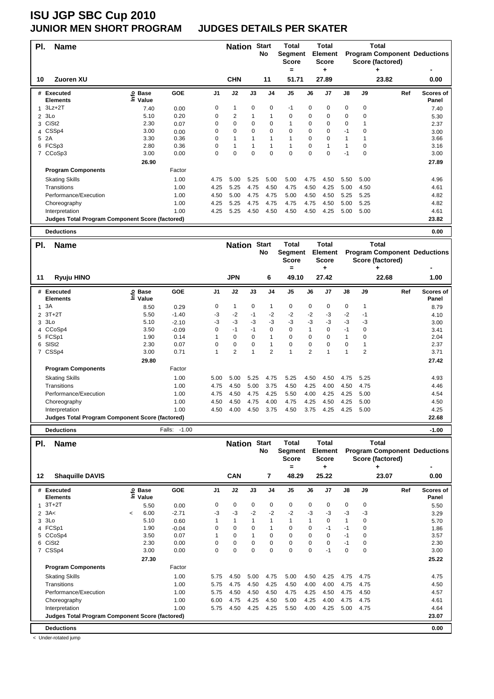### **JUNIOR MEN SHORT PROGRAM JUDGES DETAILS PER SKATER**

| PI. | <b>Name</b>                                            |                      |        |                | <b>Nation</b>  |                | <b>Start</b><br>No | <b>Total</b><br>Segment<br><b>Score</b> |             | <b>Total</b><br><b>Element</b><br><b>Score</b> |             |          | Total<br><b>Program Component Deductions</b><br>Score (factored) |                           |
|-----|--------------------------------------------------------|----------------------|--------|----------------|----------------|----------------|--------------------|-----------------------------------------|-------------|------------------------------------------------|-------------|----------|------------------------------------------------------------------|---------------------------|
| 10  | Zuoren XU                                              |                      |        |                | <b>CHN</b>     |                | 11                 | $=$<br>51.71                            |             | ٠<br>27.89                                     |             |          | 23.82                                                            | 0.00                      |
|     |                                                        |                      |        |                |                |                |                    |                                         |             |                                                |             |          |                                                                  |                           |
|     | # Executed<br><b>Elements</b>                          | ු Base<br>Ξ<br>Value | GOE    | J <sub>1</sub> | J2             | J3             | J <sub>4</sub>     | J <sub>5</sub>                          | J6          | J7                                             | J8          | J9       | Ref                                                              | <b>Scores of</b><br>Panel |
|     | $3Lz + 2T$                                             | 7.40                 | 0.00   | 0              | 1              | $\mathbf 0$    | 0                  | $-1$                                    | $\mathbf 0$ | 0                                              | $\mathbf 0$ | 0        |                                                                  | 7.40                      |
| 2   | 3Lo                                                    | 5.10                 | 0.20   | 0              | $\overline{2}$ | -1             | 1                  | 0                                       | $\Omega$    | $\Omega$                                       | $\mathbf 0$ | 0        |                                                                  | 5.30                      |
| 3   | CiSt <sub>2</sub>                                      | 2.30                 | 0.07   | 0              | 0              | $\Omega$       | $\Omega$           | 1                                       | $\Omega$    | 0                                              | $\mathbf 0$ |          |                                                                  | 2.37                      |
| 4   | CSSp4                                                  | 3.00                 | 0.00   | 0              | $\mathbf 0$    | $\Omega$       | $\Omega$           | $\Omega$                                | $\Omega$    | $\Omega$                                       | $-1$        | $\Omega$ |                                                                  | 3.00                      |
| 5   | 2A                                                     | 3.30                 | 0.36   | 0              | $\mathbf{1}$   | $\overline{1}$ |                    | $\mathbf{1}$                            | $\Omega$    | $\Omega$                                       | 1           |          |                                                                  | 3.66                      |
|     | 6 FCSp3                                                | 2.80                 | 0.36   | 0              | 1              | 1              |                    | 1                                       | 0           | 1                                              | 1           | 0        |                                                                  | 3.16                      |
|     | 7 CCoSp3                                               | 3.00                 | 0.00   | $\Omega$       | $\Omega$       | $\Omega$       | $\Omega$           | $\Omega$                                | $\Omega$    | $\Omega$                                       | $-1$        | $\Omega$ |                                                                  | 3.00                      |
|     |                                                        | 26.90                |        |                |                |                |                    |                                         |             |                                                |             |          |                                                                  | 27.89                     |
|     | <b>Program Components</b>                              |                      | Factor |                |                |                |                    |                                         |             |                                                |             |          |                                                                  |                           |
|     | <b>Skating Skills</b>                                  |                      | 1.00   | 4.75           | 5.00           | 5.25           | 5.00               | 5.00                                    | 4.75        | 4.50                                           | 5.50        | 5.00     |                                                                  | 4.96                      |
|     | Transitions                                            |                      | 1.00   | 4.25           | 5.25           | 4.75           | 4.50               | 4.75                                    | 4.50        | 4.25                                           | 5.00        | 4.50     |                                                                  | 4.61                      |
|     | Performance/Execution                                  |                      | 1.00   | 4.50           | 5.00           | 4.75           | 4.75               | 5.00                                    | 4.50        | 4.50                                           | 5.25        | 5.25     |                                                                  | 4.82                      |
|     | Choreography                                           |                      | 1.00   | 4.25           | 5.25           | 4.75           | 4.75               | 4.75                                    | 4.75        | 4.50                                           | 5.00        | 5.25     |                                                                  | 4.82                      |
|     | Interpretation                                         |                      | 1.00   | 4.25           | 5.25           | 4.50           | 4.50               | 4.50                                    | 4.50        | 4.25                                           | 5.00        | 5.00     |                                                                  | 4.61                      |
|     | <b>Judges Total Program Component Score (factored)</b> |                      |        |                |                |                |                    |                                         |             |                                                |             |          |                                                                  | 23.82                     |
|     | <b>Deductions</b>                                      |                      |        |                |                |                |                    |                                         |             |                                                |             |          |                                                                  | 0.00                      |
| PI. | <b>Name</b>                                            |                      |        |                | <b>Nation</b>  |                | <b>Start</b><br>N۸ | Total<br><b>Seament</b>                 |             | <b>Total</b><br>Element -                      |             |          | <b>Total</b><br><b>Drogram Component Deductions</b>              |                           |

|    |                                                        |                                |            |      |                |          | No             | Segment<br><b>Score</b> |                | <b>Element</b><br><b>Score</b> |             |      | <b>Program Component Deductions</b><br>Score (factored) |                           |
|----|--------------------------------------------------------|--------------------------------|------------|------|----------------|----------|----------------|-------------------------|----------------|--------------------------------|-------------|------|---------------------------------------------------------|---------------------------|
|    |                                                        |                                |            |      |                |          |                | =                       |                | ۰                              |             |      | ٠                                                       |                           |
| 11 | Ryuju HINO                                             |                                |            |      | <b>JPN</b>     |          | 6              | 49.10                   |                | 27.42                          |             |      | 22.68                                                   | 1.00                      |
|    | # Executed<br><b>Elements</b>                          | <b>Base</b><br>٥<br>Ξ<br>Value | <b>GOE</b> | J1   | J2             | J3       | J4             | J <sub>5</sub>          | J6             | J7                             | J8          | J9   | Ref                                                     | <b>Scores of</b><br>Panel |
|    | 13A                                                    | 8.50                           | 0.29       | 0    | 1              | 0        |                | 0                       | 0              | 0                              | $\mathbf 0$ |      |                                                         | 8.79                      |
|    | $2$ 3T+2T                                              | 5.50                           | $-1.40$    | -3   | $-2$           | $-1$     | $-2$           | $-2$                    | $-2$           | -3                             | -2          | $-1$ |                                                         | 4.10                      |
|    | $3$ $3$ Lo                                             | 5.10                           | $-2.10$    | -3   | $-3$           | -3       | $-3$           | $-3$                    | -3             | $-3$                           | -3          | -3   |                                                         | 3.00                      |
|    | 4 CCoSp4                                               | 3.50                           | $-0.09$    | 0    | -1             | $-1$     | 0              | 0                       |                | 0                              | -1          | 0    |                                                         | 3.41                      |
|    | 5 FCSp1                                                | 1.90                           | 0.14       |      | 0              | $\Omega$ |                | 0                       | 0              | $\Omega$                       | 1           | 0    |                                                         | 2.04                      |
|    | 6 SISt2                                                | 2.30                           | 0.07       | 0    | 0              | 0        | 1              | 0                       | 0              | $\Omega$                       | 0           |      |                                                         | 2.37                      |
|    | 7 CSSp4                                                | 3.00                           | 0.71       |      | $\overline{2}$ |          | $\overline{2}$ | 1                       | $\overline{2}$ |                                |             | 2    |                                                         | 3.71                      |
|    |                                                        | 29.80                          |            |      |                |          |                |                         |                |                                |             |      |                                                         | 27.42                     |
|    | <b>Program Components</b>                              |                                | Factor     |      |                |          |                |                         |                |                                |             |      |                                                         |                           |
|    | <b>Skating Skills</b>                                  |                                | 1.00       | 5.00 | 5.00           | 5.25     | 4.75           | 5.25                    | 4.50           | 4.50                           | 4.75        | 5.25 |                                                         | 4.93                      |
|    | Transitions                                            |                                | 1.00       | 4.75 | 4.50           | 5.00     | 3.75           | 4.50                    | 4.25           | 4.00                           | 4.50        | 4.75 |                                                         | 4.46                      |
|    | Performance/Execution                                  |                                | 1.00       | 4.75 | 4.50           | 4.75     | 4.25           | 5.50                    | 4.00           | 4.25                           | 4.25        | 5.00 |                                                         | 4.54                      |
|    | Choreography                                           |                                | 1.00       | 4.50 | 4.50           | 4.75     | 4.00           | 4.75                    | 4.25           | 4.50                           | 4.25        | 5.00 |                                                         | 4.50                      |
|    | Interpretation                                         |                                | 1.00       | 4.50 | 4.00           | 4.50     | 3.75           | 4.50                    | 3.75           | 4.25                           | 4.25        | 5.00 |                                                         | 4.25                      |
|    | <b>Judges Total Program Component Score (factored)</b> |                                |            |      |                |          |                |                         |                |                                |             |      |                                                         | 22.68                     |

**Deductions** Falls: -1.00 **-1.00**

| PI.            | <b>Name</b>                                     |            |                   |            |                | <b>Nation</b> |             | <b>Start</b><br>No | <b>Total</b><br>Segment<br><b>Score</b> |             | Total<br><b>Element</b><br><b>Score</b> |               |             | Total<br>Score (factored) | <b>Program Component Deductions</b> |
|----------------|-------------------------------------------------|------------|-------------------|------------|----------------|---------------|-------------|--------------------|-----------------------------------------|-------------|-----------------------------------------|---------------|-------------|---------------------------|-------------------------------------|
| 12             | <b>Shaquille DAVIS</b>                          |            |                   |            |                | <b>CAN</b>    |             | 7                  | =<br>48.29                              |             | ٠<br>25.22                              |               |             | ٠<br>23.07                | 0.00                                |
|                |                                                 |            |                   |            |                |               |             |                    |                                         |             |                                         |               |             |                           |                                     |
|                | # Executed<br><b>Elements</b>                   |            | e Base<br>E Value | <b>GOE</b> | J <sub>1</sub> | J2            | J3          | J <sub>4</sub>     | J <sub>5</sub>                          | J6          | J7                                      | $\mathsf{J}8$ | J9          | Ref                       | Scores of<br>Panel                  |
| $\mathbf{1}$   | $3T+2T$                                         |            | 5.50              | 0.00       | 0              | 0             | 0           | 0                  | 0                                       | 0           | 0                                       | 0             | $\mathbf 0$ |                           | 5.50                                |
| $\overline{2}$ | 3A<                                             | $\tilde{}$ | 6.00              | $-2.71$    | -3             | $-3$          | $-2$        | $-2$               | $-2$                                    | $-3$        | $-3$                                    | $-3$          | -3          |                           | 3.29                                |
| 3              | 3Lo                                             |            | 5.10              | 0.60       |                | 1             |             | 1                  | $\mathbf{1}$                            |             | $\Omega$                                | 1             | $\Omega$    |                           | 5.70                                |
|                | 4 FCSp1                                         |            | 1.90              | $-0.04$    | $\Omega$       | $\mathbf 0$   | $\Omega$    |                    | 0                                       | $\Omega$    | $-1$                                    | $-1$          | $\Omega$    |                           | 1.86                                |
| 5              | CCoSp4                                          |            | 3.50              | 0.07       |                | $\mathbf 0$   |             | $\mathbf 0$        | $\mathbf 0$                             | $\Omega$    | $\mathbf 0$                             | $-1$          | $\Omega$    |                           | 3.57                                |
| 6              | CiSt <sub>2</sub>                               |            | 2.30              | 0.00       | $\Omega$       | $\mathbf 0$   | 0           | 0                  | $\mathbf 0$                             | $\mathbf 0$ | $\Omega$                                | $-1$          | 0           |                           | 2.30                                |
| $\overline{7}$ | CSSp4                                           |            | 3.00              | 0.00       | 0              | $\mathbf 0$   | $\mathbf 0$ | $\mathbf 0$        | $\mathbf 0$                             | 0           | $-1$                                    | 0             | $\mathbf 0$ |                           | 3.00                                |
|                |                                                 |            | 27.30             |            |                |               |             |                    |                                         |             |                                         |               |             |                           | 25.22                               |
|                | <b>Program Components</b>                       |            |                   | Factor     |                |               |             |                    |                                         |             |                                         |               |             |                           |                                     |
|                | <b>Skating Skills</b>                           |            |                   | 1.00       | 5.75           | 4.50          | 5.00        | 4.75               | 5.00                                    | 4.50        | 4.25                                    | 4.75          | 4.75        |                           | 4.75                                |
|                | Transitions                                     |            |                   | 1.00       | 5.75           | 4.75          | 4.50        | 4.25               | 4.50                                    | 4.00        | 4.00                                    | 4.75          | 4.75        |                           | 4.50                                |
|                | Performance/Execution                           |            |                   | 1.00       | 5.75           | 4.50          | 4.50        | 4.50               | 4.75                                    | 4.25        | 4.50                                    | 4.75          | 4.50        |                           | 4.57                                |
|                | Choreography                                    |            |                   | 1.00       | 6.00           | 4.75          | 4.25        | 4.50               | 5.00                                    | 4.25        | 4.00                                    | 4.75          | 4.75        |                           | 4.61                                |
|                | Interpretation                                  |            |                   | 1.00       | 5.75           | 4.50          | 4.25        | 4.25               | 5.50                                    | 4.00        | 4.25                                    | 5.00          | 4.75        |                           | 4.64                                |
|                | Judges Total Program Component Score (factored) |            |                   |            |                |               |             |                    |                                         |             |                                         |               |             |                           | 23.07                               |
|                | <b>Deductions</b>                               |            |                   |            |                |               |             |                    |                                         |             |                                         |               |             |                           | 0.00                                |

< Under-rotated jump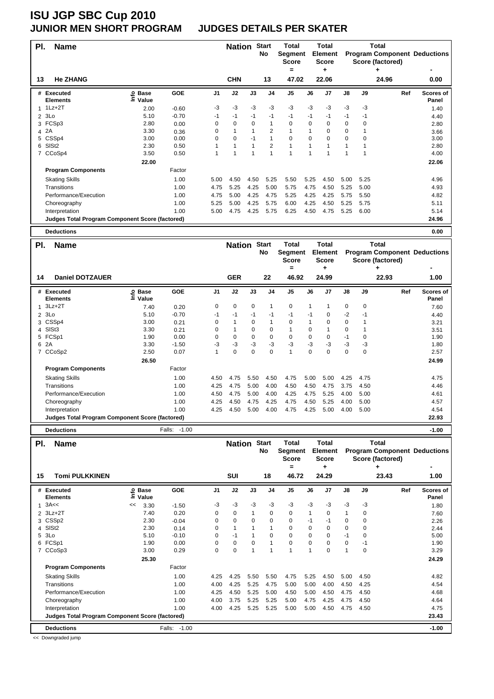### **JUNIOR MEN SHORT PROGRAM JUDGES DETAILS PER SKATER**

| PI.            | <b>Name</b>                                            |                   |         |                | <b>Nation</b> |                | <b>Start</b><br>No | Total<br>Segment<br><b>Score</b> |          | Total<br><b>Element</b><br><b>Score</b> |              |          | Total<br>Score (factored) | <b>Program Component Deductions</b> |
|----------------|--------------------------------------------------------|-------------------|---------|----------------|---------------|----------------|--------------------|----------------------------------|----------|-----------------------------------------|--------------|----------|---------------------------|-------------------------------------|
| 13             | <b>He ZHANG</b>                                        |                   |         |                | <b>CHN</b>    |                | 13                 | $=$<br>47.02                     |          | ٠<br>22.06                              |              |          | ٠<br>24.96                | 0.00                                |
|                | # Executed<br><b>Elements</b>                          | e Base<br>⊆ Value | GOE     | J <sub>1</sub> | J2            | J3             | J <sub>4</sub>     | J <sub>5</sub>                   | J6       | J7                                      | J8           | J9       | Ref                       | <b>Scores of</b><br>Panel           |
|                | $1Lz + 2T$                                             | 2.00              | $-0.60$ | $-3$           | $-3$          | $-3$           | $-3$               | $-3$                             | $-3$     | $-3$                                    | $-3$         | $-3$     |                           | 1.40                                |
| $\overline{2}$ | 3Lo                                                    | 5.10              | $-0.70$ | $-1$           | $-1$          | $-1$           | $-1$               | $-1$                             | $-1$     | $-1$                                    | $-1$         | $-1$     |                           | 4.40                                |
| 3              | FCSp3                                                  | 2.80              | 0.00    | $\mathbf 0$    | $\mathbf 0$   | $\Omega$       | 1                  | 0                                | $\Omega$ | $\Omega$                                | $\mathbf 0$  | 0        |                           | 2.80                                |
| 4              | 2A                                                     | 3.30              | 0.36    | $\Omega$       | 1             | $\overline{1}$ | 2                  | 1                                |          | $\Omega$                                | $\mathbf 0$  |          |                           | 3.66                                |
|                | 5 CSSp4                                                | 3.00              | 0.00    | $\Omega$       | $\Omega$      | $-1$           | $\mathbf{1}$       | $\Omega$                         | $\Omega$ | $\Omega$                                | $\Omega$     | $\Omega$ |                           | 3.00                                |
| 6              | SISt <sub>2</sub>                                      | 2.30              | 0.50    |                | $\mathbf{1}$  | $\overline{1}$ | 2                  | 1                                |          |                                         | $\mathbf{1}$ |          |                           | 2.80                                |
| $\overline{7}$ | CCoSp4                                                 | 3.50              | 0.50    | 1              | 1             | $\overline{ }$ |                    | $\overline{1}$                   | 1        | 1                                       | 1            |          |                           | 4.00                                |
|                |                                                        | 22.00             |         |                |               |                |                    |                                  |          |                                         |              |          |                           | 22.06                               |
|                | <b>Program Components</b>                              |                   | Factor  |                |               |                |                    |                                  |          |                                         |              |          |                           |                                     |
|                | <b>Skating Skills</b>                                  |                   | 1.00    | 5.00           | 4.50          | 4.50           | 5.25               | 5.50                             | 5.25     | 4.50                                    | 5.00         | 5.25     |                           | 4.96                                |
|                | Transitions                                            |                   | 1.00    | 4.75           | 5.25          | 4.25           | 5.00               | 5.75                             | 4.75     | 4.50                                    | 5.25         | 5.00     |                           | 4.93                                |
|                | Performance/Execution                                  |                   | 1.00    | 4.75           | 5.00          | 4.25           | 4.75               | 5.25                             | 4.25     | 4.25                                    | 5.75         | 5.50     |                           | 4.82                                |
|                | Choreography                                           |                   | 1.00    | 5.25           | 5.00          | 4.25           | 5.75               | 6.00                             | 4.25     | 4.50                                    | 5.25         | 5.75     |                           | 5.11                                |
|                | Interpretation                                         |                   | 1.00    | 5.00           | 4.75          | 4.25           | 5.75               | 6.25                             | 4.50     | 4.75                                    | 5.25         | 6.00     |                           | 5.14                                |
|                | <b>Judges Total Program Component Score (factored)</b> |                   |         |                |               |                |                    |                                  |          |                                         |              |          |                           | 24.96                               |
|                | <b>Deductions</b>                                      |                   |         |                |               |                |                    |                                  |          |                                         |              |          |                           | 0.00                                |

| PI. | <b>Name</b>                                            |                            |            |                | <b>Nation</b> |             | <b>Start</b><br>No       | Total<br>Segment<br>Score |      | <b>Total</b><br><b>Element</b><br><b>Score</b> |             |             | <b>Total</b><br><b>Program Component Deductions</b><br>Score (factored) |                           |
|-----|--------------------------------------------------------|----------------------------|------------|----------------|---------------|-------------|--------------------------|---------------------------|------|------------------------------------------------|-------------|-------------|-------------------------------------------------------------------------|---------------------------|
|     |                                                        |                            |            |                |               |             |                          | =                         |      | ٠                                              |             |             | ٠                                                                       |                           |
| 14  | <b>Daniel DOTZAUER</b>                                 |                            |            |                | <b>GER</b>    |             | 22                       | 46.92                     |      | 24.99                                          |             |             | 22.93                                                                   | 1.00                      |
| #   | Executed<br><b>Elements</b>                            | <b>Base</b><br>۴o<br>Value | <b>GOE</b> | J <sub>1</sub> | J2            | J3          | J <sub>4</sub>           | J <sub>5</sub>            | J6   | J7                                             | J8          | J9          | Ref                                                                     | <b>Scores of</b><br>Panel |
| 1   | $3Lz + 2T$                                             | 7.40                       | 0.20       | 0              | $\mathbf 0$   | $\mathbf 0$ | $\overline{\phantom{a}}$ | 0                         | 1    |                                                | $\mathbf 0$ | $\mathbf 0$ |                                                                         | 7.60                      |
| 2   | 3Lo                                                    | 5.10                       | $-0.70$    | $-1$           | -1            | $-1$        | -1                       | -1                        | -1   | 0                                              | $-2$        | -1          |                                                                         | 4.40                      |
|     | 3 CSSp4                                                | 3.00                       | 0.21       | $\Omega$       | 1             | $\Omega$    | 1                        | 0                         |      | $\Omega$                                       | $\mathbf 0$ |             |                                                                         | 3.21                      |
|     | 4 SISt3                                                | 3.30                       | 0.21       | 0              |               | $\Omega$    | $\mathbf 0$              | 1                         | 0    |                                                | $\mathbf 0$ |             |                                                                         | 3.51                      |
|     | 5 FCSp1                                                | 1.90                       | 0.00       | 0              | $\mathbf 0$   | 0           | $\mathbf 0$              | 0                         | 0    | 0                                              | $-1$        | 0           |                                                                         | 1.90                      |
|     | 6 2A                                                   | 3.30                       | $-1.50$    | -3             | $-3$          | -3          | $-3$                     | -3                        | -3   | -3                                             | -3          | -3          |                                                                         | 1.80                      |
|     | 7 CCoSp2                                               | 2.50                       | 0.07       |                | 0             | 0           | $\mathbf 0$              | 1                         | 0    | 0                                              | 0           | 0           |                                                                         | 2.57                      |
|     |                                                        | 26.50                      |            |                |               |             |                          |                           |      |                                                |             |             |                                                                         | 24.99                     |
|     | <b>Program Components</b>                              |                            | Factor     |                |               |             |                          |                           |      |                                                |             |             |                                                                         |                           |
|     | <b>Skating Skills</b>                                  |                            | 1.00       | 4.50           | 4.75          | 5.50        | 4.50                     | 4.75                      | 5.00 | 5.00                                           | 4.25        | 4.75        |                                                                         | 4.75                      |
|     | <b>Transitions</b>                                     |                            | 1.00       | 4.25           | 4.75          | 5.00        | 4.00                     | 4.50                      | 4.50 | 4.75                                           | 3.75        | 4.50        |                                                                         | 4.46                      |
|     | Performance/Execution                                  |                            | 1.00       | 4.50           | 4.75          | 5.00        | 4.00                     | 4.25                      | 4.75 | 5.25                                           | 4.00        | 5.00        |                                                                         | 4.61                      |
|     | Choreography                                           |                            | 1.00       | 4.25           | 4.50          | 4.75        | 4.25                     | 4.75                      | 4.50 | 5.25                                           | 4.00        | 5.00        |                                                                         | 4.57                      |
|     | Interpretation                                         |                            | 1.00       | 4.25           | 4.50          | 5.00        | 4.00                     | 4.75                      | 4.25 | 5.00                                           | 4.00        | 5.00        |                                                                         | 4.54                      |
|     | <b>Judges Total Program Component Score (factored)</b> |                            |            |                |               |             |                          |                           |      |                                                |             |             |                                                                         | 22.93                     |

| <b>Deductions</b>                                      |                            | Falls: -1.00 |                |               |          |                    |                                         |          |                                       |             |             |                                       | $-1.00$                             |
|--------------------------------------------------------|----------------------------|--------------|----------------|---------------|----------|--------------------|-----------------------------------------|----------|---------------------------------------|-------------|-------------|---------------------------------------|-------------------------------------|
| PI.<br><b>Name</b>                                     |                            |              |                | <b>Nation</b> |          | <b>Start</b><br>No | Total<br>Segment<br><b>Score</b><br>$=$ |          | Total<br>Element<br><b>Score</b><br>٠ |             |             | <b>Total</b><br>Score (factored)<br>٠ | <b>Program Component Deductions</b> |
| 15<br><b>Tomi PULKKINEN</b>                            |                            |              |                | SUI           |          | 18                 | 46.72                                   |          | 24.29                                 |             |             | 23.43                                 | 1.00                                |
| # Executed<br><b>Elements</b>                          | e Base<br>⊆ Value<br>Value | <b>GOE</b>   | J <sub>1</sub> | J2            | J3       | J <sub>4</sub>     | J <sub>5</sub>                          | J6       | J <sub>7</sub>                        | J8          | J9          | Ref                                   | Scores of<br>Panel                  |
| 3A <                                                   | 3.30<br><<                 | $-1.50$      | -3             | $-3$          | -3       | $-3$               | $-3$                                    | $-3$     | $-3$                                  | $-3$        | $-3$        |                                       | 1.80                                |
| 2 3Lz+2T                                               | 7.40                       | 0.20         | $\mathbf 0$    | $\mathbf 0$   |          | 0                  | $\mathbf 0$                             | 1        | 0                                     | 1           | 0           |                                       | 7.60                                |
| CSS <sub>p2</sub><br>3                                 | 2.30                       | $-0.04$      | 0              | $\mathbf 0$   | $\Omega$ | $\Omega$           | $\mathbf 0$                             | -1       | -1                                    | $\mathbf 0$ | $\mathbf 0$ |                                       | 2.26                                |
| SISt <sub>2</sub><br>4                                 | 2.30                       | 0.14         | $\Omega$       | $\mathbf{1}$  |          |                    | $\Omega$                                | $\Omega$ | $\Omega$                              | $\Omega$    | $\Omega$    |                                       | 2.44                                |
| 3Lo<br>5                                               | 5.10                       | $-0.10$      | 0              | $-1$          |          | 0                  | $\mathbf 0$                             | 0        | $\Omega$                              | -1          | $\mathbf 0$ |                                       | 5.00                                |
| FCSp1<br>6                                             | 1.90                       | 0.00         | 0              | 0             | $\Omega$ |                    | 0                                       | $\Omega$ | $\Omega$                              | $\mathbf 0$ | $-1$        |                                       | 1.90                                |
| 7 CCoSp3                                               | 3.00                       | 0.29         | $\Omega$       | 0             | 1        |                    | 1                                       | 1        | $\Omega$                              | 1           | $\Omega$    |                                       | 3.29                                |
|                                                        | 25.30                      |              |                |               |          |                    |                                         |          |                                       |             |             |                                       | 24.29                               |
| <b>Program Components</b>                              |                            | Factor       |                |               |          |                    |                                         |          |                                       |             |             |                                       |                                     |
| <b>Skating Skills</b>                                  |                            | 1.00         | 4.25           | 4.25          | 5.50     | 5.50               | 4.75                                    | 5.25     | 4.50                                  | 5.00        | 4.50        |                                       | 4.82                                |
| Transitions                                            |                            | 1.00         | 4.00           | 4.25          | 5.25     | 4.75               | 5.00                                    | 5.00     | 4.00                                  | 4.50        | 4.25        |                                       | 4.54                                |
| Performance/Execution                                  |                            | 1.00         | 4.25           | 4.50          | 5.25     | 5.00               | 4.50                                    | 5.00     | 4.50                                  | 4.75        | 4.50        |                                       | 4.68                                |
| Choreography                                           |                            | 1.00         | 4.00           | 3.75          | 5.25     | 5.25               | 5.00                                    | 4.75     | 4.25                                  | 4.75        | 4.50        |                                       | 4.64                                |
| Interpretation                                         |                            | 1.00         | 4.00           | 4.25          | 5.25     | 5.25               | 5.00                                    | 5.00     | 4.50                                  | 4.75        | 4.50        |                                       | 4.75                                |
| <b>Judges Total Program Component Score (factored)</b> |                            |              |                |               |          |                    |                                         |          |                                       |             |             |                                       | 23.43                               |
| <b>Deductions</b>                                      |                            | Falls: -1.00 |                |               |          |                    |                                         |          |                                       |             |             |                                       | $-1.00$                             |

<< Downgraded jump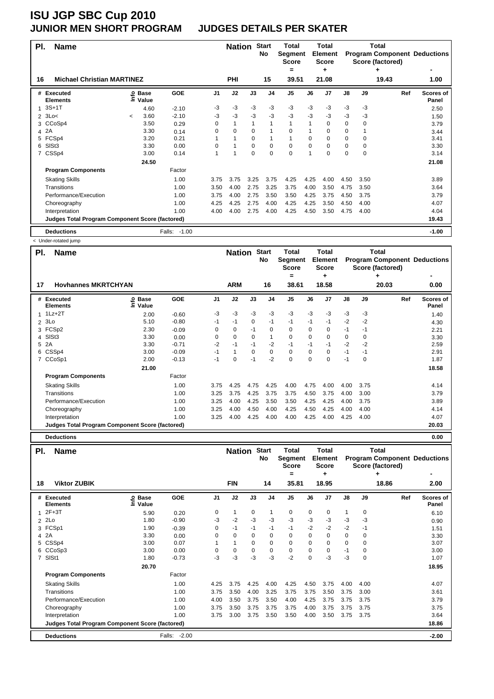#### **JUNIOR MEN SHORT PROGRAM JUDGES DETAILS PER SKATER**

| PI. | <b>Name</b>                                            |         |                                    |              |                | <b>Nation</b> |          | <b>Start</b><br>No | <b>Total</b><br>Segment<br><b>Score</b> |          | <b>Total</b><br><b>Element</b><br><b>Score</b> |               |          | Total<br>Score (factored) | <b>Program Component Deductions</b> |
|-----|--------------------------------------------------------|---------|------------------------------------|--------------|----------------|---------------|----------|--------------------|-----------------------------------------|----------|------------------------------------------------|---------------|----------|---------------------------|-------------------------------------|
|     |                                                        |         |                                    |              |                |               |          |                    | =                                       |          | ٠                                              |               |          |                           |                                     |
| 16  | <b>Michael Christian MARTINEZ</b>                      |         |                                    |              |                | <b>PHI</b>    |          | 15                 | 39.51                                   |          | 21.08                                          |               |          | 19.43                     | 1.00                                |
|     | # Executed<br><b>Elements</b>                          |         | <b>့</b> Base<br>$\bar{\Xi}$ Value | <b>GOE</b>   | J <sub>1</sub> | J2            | J3       | J <sub>4</sub>     | J <sub>5</sub>                          | J6       | J <sub>7</sub>                                 | $\mathsf{J}8$ | J9       | Ref                       | <b>Scores of</b><br>Panel           |
|     | $3S+1T$                                                |         | 4.60                               | $-2.10$      | $-3$           | $-3$          | $-3$     | $-3$               | $-3$                                    | $-3$     | $-3$                                           | $-3$          | $-3$     |                           | 2.50                                |
|     | $2 \t3Lo<$                                             | $\prec$ | 3.60                               | $-2.10$      | $-3$           | $-3$          | $-3$     | $-3$               | $-3$                                    | $-3$     | $-3$                                           | $-3$          | -3       |                           | 1.50                                |
|     | 3 CCoSp4                                               |         | 3.50                               | 0.29         | 0              | $\mathbf{1}$  |          |                    | $\mathbf{1}$                            |          | 0                                              | 0             | $\Omega$ |                           | 3.79                                |
| 4   | 2A                                                     |         | 3.30                               | 0.14         | 0              | $\Omega$      | $\Omega$ |                    | $\Omega$                                |          | $\Omega$                                       | 0             |          |                           | 3.44                                |
|     | 5 FCSp4                                                |         | 3.20                               | 0.21         |                |               | $\Omega$ |                    | $\mathbf{1}$                            | $\Omega$ | $\mathbf 0$                                    | 0             | $\Omega$ |                           | 3.41                                |
| 6   | SISt3                                                  |         | 3.30                               | 0.00         | 0              | 1             | $\Omega$ | $\Omega$           | $\mathbf 0$                             | $\Omega$ | $\Omega$                                       | 0             | $\Omega$ |                           | 3.30                                |
|     | CSSp4                                                  |         | 3.00                               | 0.14         | 1              | 1             | $\Omega$ | $\Omega$           | 0                                       | 1        | $\Omega$                                       | 0             | $\Omega$ |                           | 3.14                                |
|     |                                                        |         | 24.50                              |              |                |               |          |                    |                                         |          |                                                |               |          |                           | 21.08                               |
|     | <b>Program Components</b>                              |         |                                    | Factor       |                |               |          |                    |                                         |          |                                                |               |          |                           |                                     |
|     | <b>Skating Skills</b>                                  |         |                                    | 1.00         | 3.75           | 3.75          | 3.25     | 3.75               | 4.25                                    | 4.25     | 4.00                                           | 4.50          | 3.50     |                           | 3.89                                |
|     | Transitions                                            |         |                                    | 1.00         | 3.50           | 4.00          | 2.75     | 3.25               | 3.75                                    | 4.00     | 3.50                                           | 4.75          | 3.50     |                           | 3.64                                |
|     | Performance/Execution                                  |         |                                    | 1.00         | 3.75           | 4.00          | 2.75     | 3.50               | 3.50                                    | 4.25     | 3.75                                           | 4.50          | 3.75     |                           | 3.79                                |
|     | Choreography                                           |         |                                    | 1.00         | 4.25           | 4.25          | 2.75     | 4.00               | 4.25                                    | 4.25     | 3.50                                           | 4.50          | 4.00     |                           | 4.07                                |
|     | Interpretation                                         |         |                                    | 1.00         | 4.00           | 4.00          | 2.75     | 4.00               | 4.25                                    | 4.50     | 3.50                                           | 4.75          | 4.00     |                           | 4.04                                |
|     | <b>Judges Total Program Component Score (factored)</b> |         |                                    |              |                |               |          |                    |                                         |          |                                                |               |          |                           | 19.43                               |
|     | <b>Deductions</b>                                      |         |                                    | Falls: -1.00 |                |               |          |                    |                                         |          |                                                |               |          |                           | $-1.00$                             |

< Under-rotated jump

| PI.            | <b>Name</b>                                            |                              |         |                | <b>Nation</b> |      | <b>Start</b><br>No | Total<br>Segment<br><b>Score</b><br>= |          | Total<br><b>Element</b><br><b>Score</b><br>٠ |      |      | Total<br>Score (factored)<br>۰ | <b>Program Component Deductions</b> |
|----------------|--------------------------------------------------------|------------------------------|---------|----------------|---------------|------|--------------------|---------------------------------------|----------|----------------------------------------------|------|------|--------------------------------|-------------------------------------|
| 17             | <b>Hovhannes MKRTCHYAN</b>                             |                              |         |                | <b>ARM</b>    |      | 16                 | 38.61                                 |          | 18.58                                        |      |      | 20.03                          | 0.00                                |
|                | # Executed<br><b>Elements</b>                          | <b>Base</b><br>١nfo<br>Value | GOE     | J <sub>1</sub> | J2            | J3   | J4                 | J5                                    | J6       | J <sub>7</sub>                               | J8   | J9   | Ref                            | Scores of<br>Panel                  |
|                | $1Lz + 2T$                                             | 2.00                         | $-0.60$ | $-3$           | -3            | $-3$ | $-3$               | $-3$                                  | $-3$     | $-3$                                         | $-3$ | $-3$ |                                | 1.40                                |
| $\overline{2}$ | 3Lo                                                    | 5.10                         | $-0.80$ | $-1$           | $-1$          | 0    | $-1$               | $-1$                                  | $-1$     | $-1$                                         | $-2$ | $-2$ |                                | 4.30                                |
| 3              | FCS <sub>p2</sub>                                      | 2.30                         | $-0.09$ | 0              | $\mathbf 0$   | $-1$ | 0                  | $\mathbf 0$                           | 0        | 0                                            | $-1$ | $-1$ |                                | 2.21                                |
| 4              | SISt <sub>3</sub>                                      | 3.30                         | 0.00    | 0              | $\mathbf 0$   | 0    | $\mathbf{1}$       | $\mathbf 0$                           | 0        | $\mathbf 0$                                  | 0    | 0    |                                | 3.30                                |
| 5              | 2A                                                     | 3.30                         | $-0.71$ | $-2$           | $-1$          | $-1$ | $-2$               | $-1$                                  | $-1$     | $-1$                                         | $-2$ | $-2$ |                                | 2.59                                |
| 6              | CSSp4                                                  | 3.00                         | $-0.09$ | -1             | $\mathbf{1}$  | 0    | 0                  | 0                                     | 0        | 0                                            | $-1$ | -1   |                                | 2.91                                |
|                | CCoSp1                                                 | 2.00                         | $-0.13$ | $-1$           | $\mathbf 0$   | $-1$ | $-2$               | $\mathbf 0$                           | $\Omega$ | 0                                            | $-1$ | 0    |                                | 1.87                                |
|                |                                                        | 21.00                        |         |                |               |      |                    |                                       |          |                                              |      |      |                                | 18.58                               |
|                | <b>Program Components</b>                              |                              | Factor  |                |               |      |                    |                                       |          |                                              |      |      |                                |                                     |
|                | <b>Skating Skills</b>                                  |                              | 1.00    | 3.75           | 4.25          | 4.75 | 4.25               | 4.00                                  | 4.75     | 4.00                                         | 4.00 | 3.75 |                                | 4.14                                |
|                | Transitions                                            |                              | 1.00    | 3.25           | 3.75          | 4.25 | 3.75               | 3.75                                  | 4.50     | 3.75                                         | 4.00 | 3.00 |                                | 3.79                                |
|                | Performance/Execution                                  |                              | 1.00    | 3.25           | 4.00          | 4.25 | 3.50               | 3.50                                  | 4.25     | 4.25                                         | 4.00 | 3.75 |                                | 3.89                                |
|                | Choreography                                           |                              | 1.00    | 3.25           | 4.00          | 4.50 | 4.00               | 4.25                                  | 4.50     | 4.25                                         | 4.00 | 4.00 |                                | 4.14                                |
|                | Interpretation                                         |                              | 1.00    | 3.25           | 4.00          | 4.25 | 4.00               | 4.00                                  | 4.25     | 4.00                                         | 4.25 | 4.00 |                                | 4.07                                |
|                | <b>Judges Total Program Component Score (factored)</b> |                              |         |                |               |      |                    |                                       |          |                                              |      |      |                                | 20.03                               |
|                | <b>Deductions</b>                                      |                              |         |                |               |      |                    |                                       |          |                                              |      |      |                                | 0.00                                |

| PI. | <b>Name</b>                                     |                                |                   |                | <b>Nation</b> |          | <b>Start</b><br>No | Total<br>Segment<br><b>Score</b> |          | <b>Total</b><br><b>Element</b><br><b>Score</b> |      |             | Total<br><b>Program Component Deductions</b><br>Score (factored) |                           |
|-----|-------------------------------------------------|--------------------------------|-------------------|----------------|---------------|----------|--------------------|----------------------------------|----------|------------------------------------------------|------|-------------|------------------------------------------------------------------|---------------------------|
| 18  | <b>Viktor ZUBIK</b>                             |                                |                   |                | <b>FIN</b>    |          | 14                 | =<br>35.81                       |          | ٠<br>18.95                                     |      |             | ٠<br>18.86                                                       | 2.00                      |
|     | # Executed<br><b>Elements</b>                   | <b>Base</b><br>ٯ<br>ڠ<br>Value | <b>GOE</b>        | J <sub>1</sub> | J2            | J3       | J <sub>4</sub>     | J <sub>5</sub>                   | J6       | J7                                             | J8   | J9          | Ref                                                              | <b>Scores of</b><br>Panel |
| 1   | $2F+3T$                                         | 5.90                           | 0.20              | 0              | $\mathbf{1}$  | 0        | 1                  | 0                                | 0        | $\mathbf 0$                                    | 1    | $\mathbf 0$ |                                                                  | 6.10                      |
|     | $2$ $2Lo$                                       | 1.80                           | $-0.90$           | -3             | $-2$          | $-3$     | $-3$               | $-3$                             | $-3$     | $-3$                                           | $-3$ | -3          |                                                                  | 0.90                      |
|     | 3 FCSp1                                         | 1.90                           | $-0.39$           | 0              | $-1$          | $-1$     | $-1$               | $-1$                             | $-2$     | $-2$                                           | $-2$ | -1          |                                                                  | 1.51                      |
|     | 4 2A                                            | 3.30                           | 0.00              | $\Omega$       | $\mathbf 0$   | $\Omega$ | $\mathbf 0$        | 0                                | 0        | $\mathbf 0$                                    | 0    | 0           |                                                                  | 3.30                      |
|     | 5 CSSp4                                         | 3.00                           | 0.07              |                | 1             | $\Omega$ | $\mathbf 0$        | 0                                | $\Omega$ | $\Omega$                                       | 0    | $\Omega$    |                                                                  | 3.07                      |
|     | 6 CCoSp3                                        | 3.00                           | 0.00              | $\Omega$       | 0             | $\Omega$ | $\mathbf 0$        | 0                                | $\Omega$ | 0                                              | $-1$ | $\Omega$    |                                                                  | 3.00                      |
|     | 7 SISt1                                         | 1.80                           | $-0.73$           | $-3$           | -3            | -3       | $-3$               | $-2$                             | $\Omega$ | $-3$                                           | $-3$ | $\Omega$    |                                                                  | 1.07                      |
|     |                                                 | 20.70                          |                   |                |               |          |                    |                                  |          |                                                |      |             |                                                                  | 18.95                     |
|     | <b>Program Components</b>                       |                                | Factor            |                |               |          |                    |                                  |          |                                                |      |             |                                                                  |                           |
|     | <b>Skating Skills</b>                           |                                | 1.00              | 4.25           | 3.75          | 4.25     | 4.00               | 4.25                             | 4.50     | 3.75                                           | 4.00 | 4.00        |                                                                  | 4.07                      |
|     | Transitions                                     |                                | 1.00              | 3.75           | 3.50          | 4.00     | 3.25               | 3.75                             | 3.75     | 3.50                                           | 3.75 | 3.00        |                                                                  | 3.61                      |
|     | Performance/Execution                           |                                | 1.00              | 4.00           | 3.50          | 3.75     | 3.50               | 4.00                             | 4.25     | 3.75                                           | 3.75 | 3.75        |                                                                  | 3.79                      |
|     | Choreography                                    |                                | 1.00              | 3.75           | 3.50          | 3.75     | 3.75               | 3.75                             | 4.00     | 3.75                                           | 3.75 | 3.75        |                                                                  | 3.75                      |
|     | Interpretation                                  |                                | 1.00              | 3.75           | 3.00          | 3.75     | 3.50               | 3.50                             | 4.00     | 3.50                                           | 3.75 | 3.75        |                                                                  | 3.64                      |
|     | Judges Total Program Component Score (factored) |                                |                   |                |               |          |                    |                                  |          |                                                |      |             |                                                                  | 18.86                     |
|     | <b>Deductions</b>                               |                                | $-2.00$<br>Falls: |                |               |          |                    |                                  |          |                                                |      |             |                                                                  | $-2.00$                   |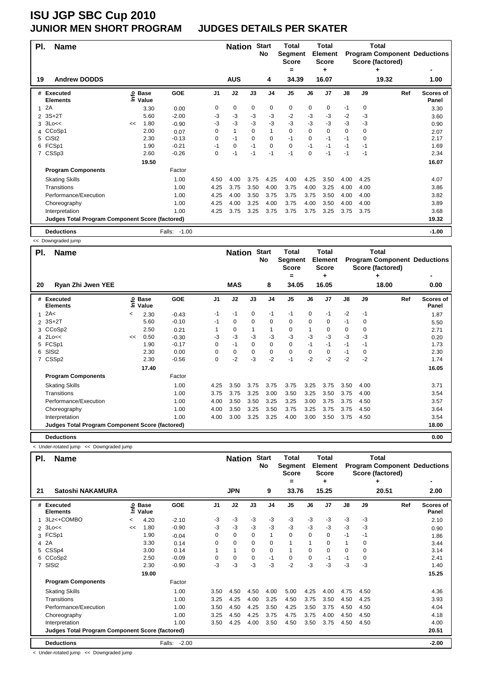#### **ISU JGP SBC Cup 2010 JUNIOR MEN SHORT PROGRAM JUDGES DETAILS PER SKATER**

| PI.            | <b>Name</b>                                            |    |                   |              |                | <b>Nation</b> |      | <b>Start</b><br>No | <b>Total</b><br>Segment<br><b>Score</b> |             | Total<br><b>Element</b><br>Score |               |             | <b>Total</b><br><b>Program Component Deductions</b><br>Score (factored) |                           |
|----------------|--------------------------------------------------------|----|-------------------|--------------|----------------|---------------|------|--------------------|-----------------------------------------|-------------|----------------------------------|---------------|-------------|-------------------------------------------------------------------------|---------------------------|
| 19             | <b>Andrew DODDS</b>                                    |    |                   |              |                | <b>AUS</b>    |      | 4                  | =<br>34.39                              |             | ٠<br>16.07                       |               |             | ٠<br>19.32                                                              | 1.00                      |
|                |                                                        |    |                   |              |                |               |      |                    |                                         |             |                                  |               |             |                                                                         |                           |
|                | # Executed<br><b>Elements</b>                          |    | e Base<br>⊆ Value | <b>GOE</b>   | J <sub>1</sub> | J2            | J3   | J <sub>4</sub>     | J <sub>5</sub>                          | J6          | J7                               | $\mathsf{J}8$ | J9          | Ref                                                                     | <b>Scores of</b><br>Panel |
| 1              | 2A                                                     |    | 3.30              | 0.00         | 0              | 0             | 0    | $\mathbf 0$        | 0                                       | 0           | $\mathbf 0$                      | $-1$          | 0           |                                                                         | 3.30                      |
| $\overline{2}$ | $3S+2T$                                                |    | 5.60              | $-2.00$      | -3             | -3            | -3   | $-3$               | $-2$                                    | $-3$        | $-3$                             | $-2$          | $-3$        |                                                                         | 3.60                      |
| 3              | 3Lo <<                                                 | << | 1.80              | $-0.90$      | -3             | $-3$          | $-3$ | $-3$               | $-3$                                    | $-3$        | $-3$                             | $-3$          | -3          |                                                                         | 0.90                      |
|                | 4 CCoSp1                                               |    | 2.00              | 0.07         | 0              | 1             | 0    | $\mathbf{1}$       | 0                                       | $\Omega$    | $\mathbf 0$                      | $\mathbf 0$   | $\mathbf 0$ |                                                                         | 2.07                      |
|                | 5 CiSt2                                                |    | 2.30              | $-0.13$      | 0              | $-1$          | 0    | $\mathbf 0$        | $-1$                                    | $\mathbf 0$ | $-1$                             | $-1$          | $\mathbf 0$ |                                                                         | 2.17                      |
|                | 6 FCSp1                                                |    | 1.90              | $-0.21$      | $-1$           | 0             | $-1$ | $\mathbf 0$        | 0                                       | $-1$        | $-1$                             | $-1$          | $-1$        |                                                                         | 1.69                      |
|                | 7 CSSp3                                                |    | 2.60              | $-0.26$      | 0              | -1            | $-1$ | $-1$               | $-1$                                    | $\mathbf 0$ | $-1$                             | -1            | $-1$        |                                                                         | 2.34                      |
|                |                                                        |    | 19.50             |              |                |               |      |                    |                                         |             |                                  |               |             |                                                                         | 16.07                     |
|                | <b>Program Components</b>                              |    |                   | Factor       |                |               |      |                    |                                         |             |                                  |               |             |                                                                         |                           |
|                | <b>Skating Skills</b>                                  |    |                   | 1.00         | 4.50           | 4.00          | 3.75 | 4.25               | 4.00                                    | 4.25        | 3.50                             | 4.00          | 4.25        |                                                                         | 4.07                      |
|                | Transitions                                            |    |                   | 1.00         | 4.25           | 3.75          | 3.50 | 4.00               | 3.75                                    | 4.00        | 3.25                             | 4.00          | 4.00        |                                                                         | 3.86                      |
|                | Performance/Execution                                  |    |                   | 1.00         | 4.25           | 4.00          | 3.50 | 3.75               | 3.75                                    | 3.75        | 3.50                             | 4.00          | 4.00        |                                                                         | 3.82                      |
|                | Choreography                                           |    |                   | 1.00         | 4.25           | 4.00          | 3.25 | 4.00               | 3.75                                    | 4.00        | 3.50                             | 4.00          | 4.00        |                                                                         | 3.89                      |
|                | Interpretation                                         |    |                   | 1.00         | 4.25           | 3.75          | 3.25 | 3.75               | 3.75                                    | 3.75        | 3.25                             | 3.75          | 3.75        |                                                                         | 3.68                      |
|                | <b>Judges Total Program Component Score (factored)</b> |    |                   |              |                |               |      |                    |                                         |             |                                  |               |             |                                                                         | 19.32                     |
|                | <b>Deductions</b>                                      |    |                   | Falls: -1.00 |                |               |      |                    |                                         |             |                                  |               |             |                                                                         | $-1.00$                   |

<< Downgraded jump

| PI.            | <b>Name</b>                                            |         |                            |         |                | <b>Nation</b> |          | <b>Start</b><br>No | Total<br>Segment<br><b>Score</b><br>= |      | <b>Total</b><br>Element<br>Score<br>٠ |      |          | Total<br>Score (factored)<br>٠ | <b>Program Component Deductions</b><br>٠ |
|----------------|--------------------------------------------------------|---------|----------------------------|---------|----------------|---------------|----------|--------------------|---------------------------------------|------|---------------------------------------|------|----------|--------------------------------|------------------------------------------|
| 20             | Ryan Zhi Jwen YEE                                      |         |                            |         |                | <b>MAS</b>    |          | 8                  | 34.05                                 |      | 16.05                                 |      |          | 18.00                          | 0.00                                     |
|                | # Executed<br><b>Elements</b>                          |         | e Base<br>⊆ Value<br>Value | GOE     | J <sub>1</sub> | J2            | J3       | J <sub>4</sub>     | J <sub>5</sub>                        | J6   | J <sub>7</sub>                        | J8   | J9       | Ref                            | <b>Scores of</b><br>Panel                |
| 1              | 2A<                                                    | $\,<\,$ | 2.30                       | $-0.43$ | -1             | $-1$          | 0        | $-1$               | $-1$                                  | 0    | $-1$                                  | $-2$ | $-1$     |                                | 1.87                                     |
| $\overline{2}$ | $3S+2T$                                                |         | 5.60                       | $-0.10$ | -1             | 0             | 0        | 0                  | 0                                     | 0    | 0                                     | $-1$ | 0        |                                | 5.50                                     |
| 3              | CCoSp2                                                 |         | 2.50                       | 0.21    |                | 0             |          | 1                  | 0                                     |      | 0                                     | 0    | $\Omega$ |                                | 2.71                                     |
| 4              | $2$ Lo<<                                               | <<      | 0.50                       | $-0.30$ | -3             | $-3$          | $-3$     | $-3$               | $-3$                                  | -3   | $-3$                                  | $-3$ | $-3$     |                                | 0.20                                     |
| 5              | FCSp1                                                  |         | 1.90                       | $-0.17$ | $\Omega$       | $-1$          | $\Omega$ | 0                  | 0                                     | $-1$ | $-1$                                  | $-1$ | $-1$     |                                | 1.73                                     |
| 6              | SISt <sub>2</sub>                                      |         | 2.30                       | 0.00    | $\mathbf 0$    | 0             | 0        | 0                  | $\mathbf 0$                           | 0    | 0                                     | $-1$ | 0        |                                | 2.30                                     |
| 7              | CSS <sub>p2</sub>                                      |         | 2.30                       | $-0.56$ | 0              | $-2$          | $-3$     | $-2$               | $-1$                                  | $-2$ | $-2$                                  | $-2$ | $-2$     |                                | 1.74                                     |
|                |                                                        |         | 17.40                      |         |                |               |          |                    |                                       |      |                                       |      |          |                                | 16.05                                    |
|                | <b>Program Components</b>                              |         |                            | Factor  |                |               |          |                    |                                       |      |                                       |      |          |                                |                                          |
|                | <b>Skating Skills</b>                                  |         |                            | 1.00    | 4.25           | 3.50          | 3.75     | 3.75               | 3.75                                  | 3.25 | 3.75                                  | 3.50 | 4.00     |                                | 3.71                                     |
|                | Transitions                                            |         |                            | 1.00    | 3.75           | 3.75          | 3.25     | 3.00               | 3.50                                  | 3.25 | 3.50                                  | 3.75 | 4.00     |                                | 3.54                                     |
|                | Performance/Execution                                  |         |                            | 1.00    | 4.00           | 3.50          | 3.50     | 3.25               | 3.25                                  | 3.00 | 3.75                                  | 3.75 | 4.50     |                                | 3.57                                     |
|                | Choreography                                           |         |                            | 1.00    | 4.00           | 3.50          | 3.25     | 3.50               | 3.75                                  | 3.25 | 3.75                                  | 3.75 | 4.50     |                                | 3.64                                     |
|                | Interpretation                                         |         |                            | 1.00    | 4.00           | 3.00          | 3.25     | 3.25               | 4.00                                  | 3.00 | 3.50                                  | 3.75 | 4.50     |                                | 3.54                                     |
|                | <b>Judges Total Program Component Score (factored)</b> |         |                            |         |                |               |          |                    |                                       |      |                                       |      |          |                                | 18.00                                    |
|                | <b>Deductions</b>                                      |         |                            |         |                |               |          |                    |                                       |      |                                       |      |          |                                | 0.00                                     |

< Under-rotated jump << Downgraded jump

| PI.            | <b>Name</b>                                            |         |                      |                   |                | <b>Nation</b> |          | <b>Start</b><br>No | Total<br>Segment<br><b>Score</b> |          | <b>Total</b><br><b>Element</b><br><b>Score</b> |               |          | Total<br><b>Program Component Deductions</b><br>Score (factored) |                    |
|----------------|--------------------------------------------------------|---------|----------------------|-------------------|----------------|---------------|----------|--------------------|----------------------------------|----------|------------------------------------------------|---------------|----------|------------------------------------------------------------------|--------------------|
| 21             | Satoshi NAKAMURA                                       |         |                      |                   |                | <b>JPN</b>    |          | 9                  | =<br>33.76                       |          | ٠<br>15.25                                     |               |          | ٠<br>20.51                                                       | 2.00               |
|                |                                                        |         |                      |                   |                |               |          |                    |                                  |          |                                                |               |          |                                                                  |                    |
|                | # Executed<br><b>Elements</b>                          | ١nfo    | <b>Base</b><br>Value | <b>GOE</b>        | J <sub>1</sub> | J2            | J3       | J <sub>4</sub>     | J5                               | J6       | J <sub>7</sub>                                 | $\mathsf{J}8$ | J9       | Ref                                                              | Scores of<br>Panel |
| 1              | 3Lz<+COMBO                                             | $\,<\,$ | 4.20                 | $-2.10$           | -3             | $-3$          | $-3$     | $-3$               | -3                               | $-3$     | $-3$                                           | $-3$          | $-3$     |                                                                  | 2.10               |
| $\mathcal{P}$  | 3Lo <<                                                 | <<      | 1.80                 | $-0.90$           | $-3$           | $-3$          | $-3$     | $-3$               | $-3$                             | $-3$     | $-3$                                           | $-3$          | $-3$     |                                                                  | 0.90               |
| 3              | FCSp1                                                  |         | 1.90                 | $-0.04$           | $\Omega$       | $\mathbf 0$   | $\Omega$ | 1                  | $\mathbf 0$                      | $\Omega$ | 0                                              | $-1$          | $-1$     |                                                                  | 1.86               |
| 4              | 2A                                                     |         | 3.30                 | 0.14              | $\Omega$       | $\mathbf 0$   | $\Omega$ | 0                  | 1                                |          | $\Omega$                                       | 1             | $\Omega$ |                                                                  | 3.44               |
| 5              | CSSp4                                                  |         | 3.00                 | 0.14              |                | 1             | $\Omega$ | $\Omega$           | 1                                | $\Omega$ | $\Omega$                                       | 0             | $\Omega$ |                                                                  | 3.14               |
| 6              | CCoSp2                                                 |         | 2.50                 | $-0.09$           | $\Omega$       | $\mathbf 0$   | $\Omega$ | $-1$               | $\mathbf 0$                      | $\Omega$ | $-1$                                           | -1            | $\Omega$ |                                                                  | 2.41               |
| $\overline{7}$ | SIS <sub>t2</sub>                                      |         | 2.30                 | $-0.90$           | -3             | -3            | -3       | -3                 | $-2$                             | -3       | $-3$                                           | $-3$          | $-3$     |                                                                  | 1.40               |
|                |                                                        |         | 19.00                |                   |                |               |          |                    |                                  |          |                                                |               |          |                                                                  | 15.25              |
|                | <b>Program Components</b>                              |         |                      | Factor            |                |               |          |                    |                                  |          |                                                |               |          |                                                                  |                    |
|                | <b>Skating Skills</b>                                  |         |                      | 1.00              | 3.50           | 4.50          | 4.50     | 4.00               | 5.00                             | 4.25     | 4.00                                           | 4.75          | 4.50     |                                                                  | 4.36               |
|                | Transitions                                            |         |                      | 1.00              | 3.25           | 4.25          | 4.00     | 3.25               | 4.50                             | 3.75     | 3.50                                           | 4.50          | 4.25     |                                                                  | 3.93               |
|                | Performance/Execution                                  |         |                      | 1.00              | 3.50           | 4.50          | 4.25     | 3.50               | 4.25                             | 3.50     | 3.75                                           | 4.50          | 4.50     |                                                                  | 4.04               |
|                | Choreography                                           |         |                      | 1.00              | 3.25           | 4.50          | 4.25     | 3.75               | 4.75                             | 3.75     | 4.00                                           | 4.50          | 4.50     |                                                                  | 4.18               |
|                | Interpretation                                         |         |                      | 1.00              | 3.50           | 4.25          | 4.00     | 3.50               | 4.50                             | 3.50     | 3.75                                           | 4.50          | 4.50     |                                                                  | 4.00               |
|                | <b>Judges Total Program Component Score (factored)</b> |         |                      |                   |                |               |          |                    |                                  |          |                                                |               |          |                                                                  | 20.51              |
|                | <b>Deductions</b>                                      |         |                      | $-2.00$<br>Falls: |                |               |          |                    |                                  |          |                                                |               |          |                                                                  | $-2.00$            |

< Under-rotated jump << Downgraded jump